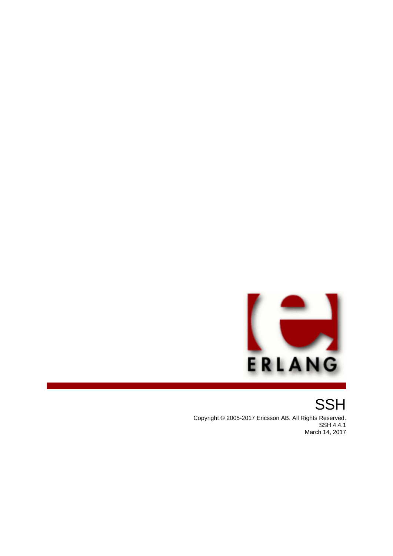

**SSH** Copyright © 2005-2017 Ericsson AB. All Rights Reserved. SSH 4.4.1 March 14, 2017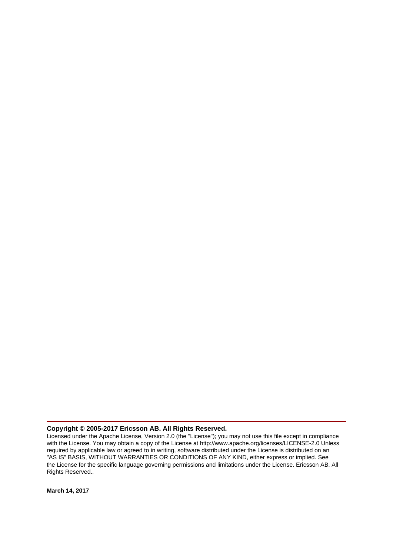#### **Copyright © 2005-2017 Ericsson AB. All Rights Reserved.**

Licensed under the Apache License, Version 2.0 (the "License"); you may not use this file except in compliance with the License. You may obtain a copy of the License at http://www.apache.org/licenses/LICENSE-2.0 Unless required by applicable law or agreed to in writing, software distributed under the License is distributed on an "AS IS" BASIS, WITHOUT WARRANTIES OR CONDITIONS OF ANY KIND, either express or implied. See the License for the specific language governing permissions and limitations under the License. Ericsson AB. All Rights Reserved..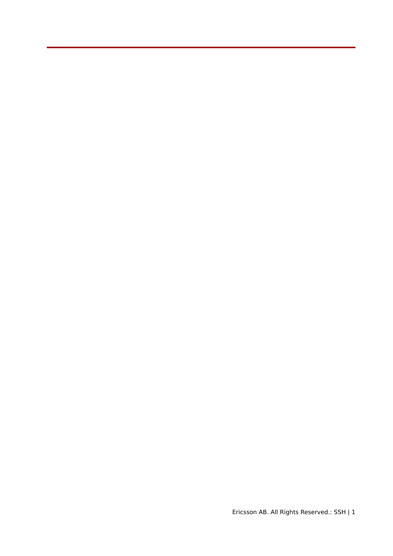Ericsson AB. All Rights Reserved.: SSH | 1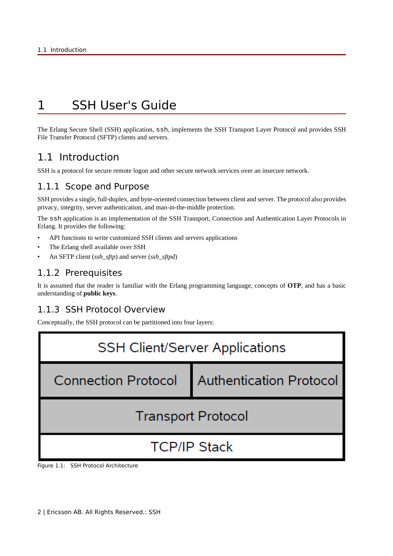# 1 SSH User's Guide

The Erlang Secure Shell (SSH) application, ssh, implements the SSH Transport Layer Protocol and provides SSH File Transfer Protocol (SFTP) clients and servers.

# 1.1 Introduction

SSH is a protocol for secure remote logon and other secure network services over an insecure network.

# 1.1.1 Scope and Purpose

SSH provides a single, full-duplex, and byte-oriented connection between client and server. The protocol also provides privacy, integrity, server authentication, and man-in-the-middle protection.

The ssh application is an implementation of the SSH Transport, Connection and Authentication Layer Protocols in Erlang. It provides the following:

- API functions to write customized SSH clients and servers applications
- The Erlang shell available over SSH
- An SFTP client (*ssh\_sftp*) and server (*ssh\_sftpd*)

# 1.1.2 Prerequisites

It is assumed that the reader is familiar with the Erlang programming language, concepts of **OTP**, and has a basic understanding of **public keys**.

# 1.1.3 SSH Protocol Overview

Conceptually, the SSH protocol can be partitioned into four layers:



Figure 1.1: SSH Protocol Architecture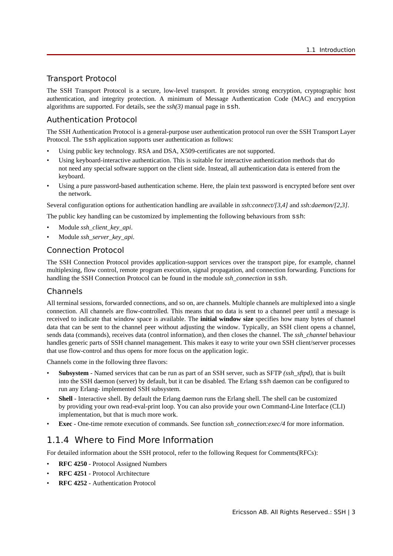### Transport Protocol

The SSH Transport Protocol is a secure, low-level transport. It provides strong encryption, cryptographic host authentication, and integrity protection. A minimum of Message Authentication Code (MAC) and encryption algorithms are supported. For details, see the *ssh(3)* manual page in ssh.

### Authentication Protocol

The SSH Authentication Protocol is a general-purpose user authentication protocol run over the SSH Transport Layer Protocol. The ssh application supports user authentication as follows:

- Using public key technology. RSA and DSA, X509-certificates are not supported.
- Using keyboard-interactive authentication. This is suitable for interactive authentication methods that do not need any special software support on the client side. Instead, all authentication data is entered from the keyboard.
- Using a pure password-based authentication scheme. Here, the plain text password is encrypted before sent over the network.

Several configuration options for authentication handling are available in *ssh:connect/[3,4]* and *ssh:daemon/[2,3]*.

The public key handling can be customized by implementing the following behaviours from ssh:

- Module *ssh\_client\_key\_api*.
- Module *ssh\_server\_key\_api*.

### Connection Protocol

The SSH Connection Protocol provides application-support services over the transport pipe, for example, channel multiplexing, flow control, remote program execution, signal propagation, and connection forwarding. Functions for handling the SSH Connection Protocol can be found in the module *ssh\_connection* in ssh.

### Channels

All terminal sessions, forwarded connections, and so on, are channels. Multiple channels are multiplexed into a single connection. All channels are flow-controlled. This means that no data is sent to a channel peer until a message is received to indicate that window space is available. The **initial window size** specifies how many bytes of channel data that can be sent to the channel peer without adjusting the window. Typically, an SSH client opens a channel, sends data (commands), receives data (control information), and then closes the channel. The *ssh\_channel* behaviour handles generic parts of SSH channel management. This makes it easy to write your own SSH client/server processes that use flow-control and thus opens for more focus on the application logic.

Channels come in the following three flavors:

- **Subsystem** Named services that can be run as part of an SSH server, such as SFTP *(ssh\_sftpd)*, that is built into the SSH daemon (server) by default, but it can be disabled. The Erlang ssh daemon can be configured to run any Erlang- implemented SSH subsystem.
- **Shell** Interactive shell. By default the Erlang daemon runs the Erlang shell. The shell can be customized by providing your own read-eval-print loop. You can also provide your own Command-Line Interface (CLI) implementation, but that is much more work.
- **Exec** One-time remote execution of commands. See function *ssh\_connection:exec/4* for more information.

# 1.1.4 Where to Find More Information

For detailed information about the SSH protocol, refer to the following Request for Comments(RFCs):

- **[RFC 4250](href)** Protocol Assigned Numbers
- **[RFC 4251](href)** Protocol Architecture
- **[RFC 4252](href)** Authentication Protocol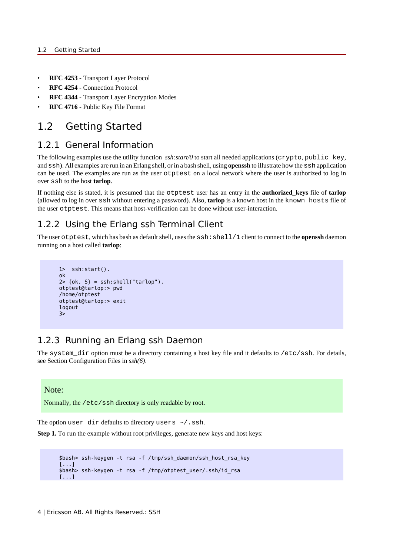- **[RFC 4253](href)** Transport Layer Protocol
- **[RFC 4254](href)** Connection Protocol
- **[RFC 4344](href)** Transport Layer Encryption Modes
- **[RFC 4716](href)** Public Key File Format

# 1.2 Getting Started

### 1.2.1 General Information

The following examples use the utility function  $ssh:star\theta$  to start all needed applications (crypto, public key, and ssh). All examples are run in an Erlang shell, or in a bash shell, using **openssh** to illustrate how the ssh application can be used. The examples are run as the user otptest on a local network where the user is authorized to log in over ssh to the host **tarlop**.

If nothing else is stated, it is presumed that the otptest user has an entry in the **authorized\_keys** file of **tarlop** (allowed to log in over ssh without entering a password). Also, **tarlop** is a known host in the known\_hosts file of the user otptest. This means that host-verification can be done without user-interaction.

### 1.2.2 Using the Erlang ssh Terminal Client

The user otptest, which has bash as default shell, uses the ssh:shell/1 client to connect to the **openssh** daemon running on a host called **tarlop**:

```
 1> ssh:start().
 ok
2 > \{ ok, S \} = \{ sh : \{ sh \} \cup \{ "tarlop" \}.
 otptest@tarlop:> pwd
 /home/otptest
 otptest@tarlop:> exit
 logout
 3>
```
### 1.2.3 Running an Erlang ssh Daemon

The system\_dir option must be a directory containing a host key file and it defaults to /etc/ssh. For details, see Section Configuration Files in *ssh(6)*.

#### Note:

Normally, the /etc/ssh directory is only readable by root.

The option user\_dir defaults to directory users  $\sim/$ .ssh.

**Step 1.** To run the example without root privileges, generate new keys and host keys:

```
 $bash> ssh-keygen -t rsa -f /tmp/ssh_daemon/ssh_host_rsa_key
 [...]
 $bash> ssh-keygen -t rsa -f /tmp/otptest_user/.ssh/id_rsa
 [...]
```
4 | Ericsson AB. All Rights Reserved.: SSH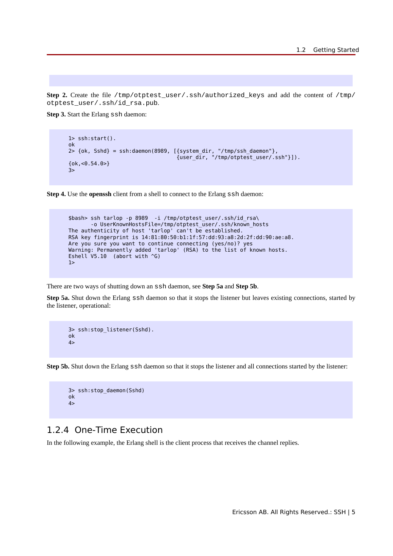**Step 2.** Create the file /tmp/otptest\_user/.ssh/authorized\_keys and add the content of /tmp/ otptest\_user/.ssh/id\_rsa.pub.

**Step 3.** Start the Erlang ssh daemon:

```
 1> ssh:start().
     ok
 2> {ok, Sshd} = ssh:daemon(8989, [{system_dir, "/tmp/ssh_daemon"},
 {user_dir, "/tmp/otptest_user/.ssh"}]).
     {ok,<0.54.0>}
     3>
```
**Step 4.** Use the **openssh** client from a shell to connect to the Erlang ssh daemon:

```
 $bash> ssh tarlop -p 8989 -i /tmp/otptest_user/.ssh/id_rsa\
        -o UserKnownHostsFile=/tmp/otptest_user/.ssh/known_hosts
The authenticity of host 'tarlop' can't be established.
 RSA key fingerprint is 14:81:80:50:b1:1f:57:dd:93:a8:2d:2f:dd:90:ae:a8.
 Are you sure you want to continue connecting (yes/no)? yes
 Warning: Permanently added 'tarlop' (RSA) to the list of known hosts.
Eshell V5.10 (abort with ^G)
 1>
```
There are two ways of shutting down an ssh daemon, see **Step 5a** and **Step 5b**.

**Step 5a.** Shut down the Erlang ssh daemon so that it stops the listener but leaves existing connections, started by the listener, operational:

```
 3> ssh:stop_listener(Sshd).
 ok
4<sub>5</sub>
```
**Step 5b.** Shut down the Erlang ssh daemon so that it stops the listener and all connections started by the listener:

```
 3> ssh:stop_daemon(Sshd)
 ok
\lambda
```
### 1.2.4 One-Time Execution

In the following example, the Erlang shell is the client process that receives the channel replies.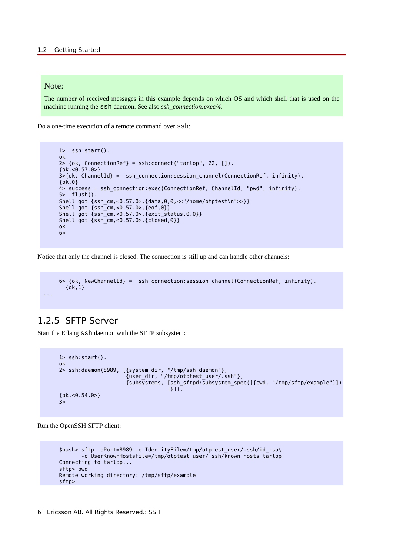Note:

The number of received messages in this example depends on which OS and which shell that is used on the machine running the ssh daemon. See also *ssh\_connection:exec/4*.

Do a one-time execution of a remote command over ssh:

```
 1> ssh:start().
      ok
 2> {ok, ConnectionRef} = ssh:connect("tarlop", 22, []).
\{ ok, <0.57.0>}
      3>{ok, ChannelId} = ssh_connection:session_channel(ConnectionRef, infinity).
      {ok,0}
      4> success = ssh_connection:exec(ConnectionRef, ChannelId, "pwd", infinity).
      5> flush().
      Shell got {ssh_cm,<0.57.0>,{data,0,0,<<"/home/otptest\n">>}}
 Shell got {ssh_cm,<0.57.0>,{eof,0}}
 Shell got {ssh_cm,<0.57.0>,{exit_status,0,0}}
      Shell got {ssh_cm,<0.57.0>,{closed,0}}
      ok
     6
```
Notice that only the channel is closed. The connection is still up and can handle other channels:

```
6 {ok, NewChannelId} = ssh connection:session channel(ConnectionRef, infinity).
      \{ok,1\} ...
```
### 1.2.5 SFTP Server

Start the Erlang ssh daemon with the SFTP subsystem:

```
 1> ssh:start().
     ok
 2> ssh:daemon(8989, [{system_dir, "/tmp/ssh_daemon"},
 {user_dir, "/tmp/otptest_user/.ssh"},
                      {subsystems, [ssh_sftpd:subsystem_spec([{cwd, "/tmp/sftp/example"}])
\{1\}]).
     {ok,<0.54.0>}
     3>
```
Run the OpenSSH SFTP client:

```
 $bash> sftp -oPort=8989 -o IdentityFile=/tmp/otptest_user/.ssh/id_rsa\
       -o UserKnownHostsFile=/tmp/otptest_user/.ssh/known_hosts_tarlop
 Connecting to tarlop...
 sftp> pwd
 Remote working directory: /tmp/sftp/example
 sftp>
```
6 | Ericsson AB. All Rights Reserved.: SSH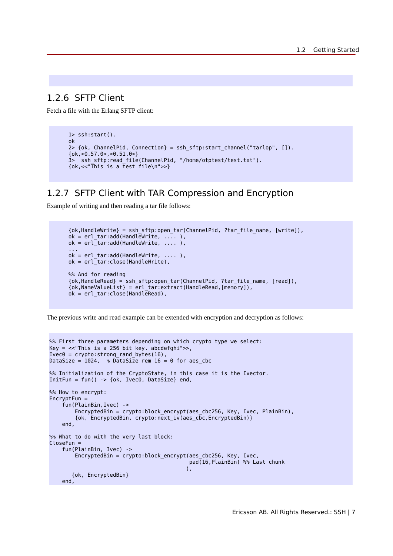### 1.2.6 SFTP Client

Fetch a file with the Erlang SFTP client:

```
 1> ssh:start().
 ok
 2> {ok, ChannelPid, Connection} = ssh_sftp:start_channel("tarlop", []).
 {ok,<0.57.0>,<0.51.0>}
 3> ssh_sftp:read_file(ChannelPid, "/home/otptest/test.txt").
\{ok, << "This is a Test file\\n">>\}
```
### 1.2.7 SFTP Client with TAR Compression and Encryption

Example of writing and then reading a tar file follows:

```
 {ok,HandleWrite} = ssh_sftp:open_tar(ChannelPid, ?tar_file_name, [write]),
      ok = erl_t = rad(HandleWrite, ...ok = er<sup>1</sup> tar:add(HandleWrite, ...), ...
       ok = erl_tar:add(HandleWrite, .... ),
      ok = erL \cdot close(HandleWrite),
       %% And for reading
      \{ok, HandleRead\} = \text{csh stp:open tar}(\text{ChannelPid}, ?tar file name, [read]),\{ok, NameValueList\} = \overline{erl} tar:exttract(HandleRead, [memory]),
       ok = erl_tar:close(HandleRead),
```
The previous write and read example can be extended with encryption and decryption as follows:

```
%% First three parameters depending on which crypto type we select:
Key = <<"This is a 256 bit key. abcdefghi">>,
Ivec0 = crypto:strong_rand_bytes(16),
DataSize = 1024, % DataSize rem 16 = 0 for aes cbc
%% Initialization of the CryptoState, in this case it is the Ivector.
InitFun = fun() \rightarrow {ok, Ivec0, DataSize} end,
%% How to encrypt:
EncryptFun =
     fun(PlainBin,Ivec) ->
        EncryptedBin = crypto:block encrypt(aes cbc256, Key, Ivec, PlainBin),
         {ok, EncryptedBin, crypto:next_iv(aes_cbc,EncryptedBin)}
     end,
%% What to do with the very last block:
CloseFun =
     fun(PlainBin, Ivec) ->
         EncryptedBin = crypto:block_encrypt(aes_cbc256, Key, Ivec,
                                              pad(16, PlainBin) %% Last chunk<br>),
), the contract of the contract of the contract of \mathcal{C} , \mathcal{C} {ok, EncryptedBin}
     end,
```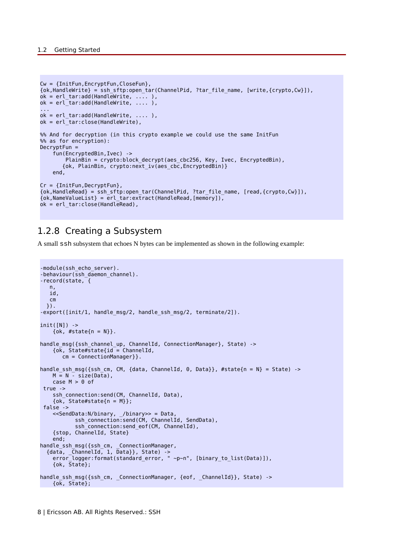```
Cw = {InitFun, EncryptFun, CloseFun},
{ok,HandleWrite} = ssh_sftp:open_tar(ChannelPid, ?tar_file_name, [write,{crypto,Cw}]),
ok = erl_tar:add(HandleWrite, ...),ok = erl_tar:add(HandleWrite, .... ),
...
ok = erl_tar:add(HandleWrite, .... ),
ok = erl_tar:close(HandleWrite),
%% And for decryption (in this crypto example we could use the same InitFun
%% as for encryption):
DecryptFun =
     fun(EncryptedBin,Ivec) ->
         PlainBin = crypto:block_decrypt(aes_cbc256, Key, Ivec, EncryptedBin),
        {ok, PlainBin, crypto:next_iv(aes_cbc,EncryptedBin)}
     end,
Cr = {InitFun,DecryptFun},{ok,HandleRead} = ssh_sftp:open_tar(ChannelPid, ?tar_file_name, [read,{crypto,Cw}]),
\{ok, NameValueList\} = erl\_tar:ex\bar{t}ract(HandleRead, [memory]),
ok = erl_tar:close(HandleRead),
```
### 1.2.8 Creating a Subsystem

A small ssh subsystem that echoes N bytes can be implemented as shown in the following example:

```
-module(ssh_echo_server).
-behaviour(ssh daemon channel).
-record(state, {
   n,
    id,
    cm
  }).
-export([init/1, handle msg/2, handle ssh msg/2, terminate/2]).
init(\N1) ->
    \{ok, #state\n = N\}.handle_msg({ssh_channel_up, ChannelId, ConnectionManager}, State) ->
     {ok, State#state{id = ChannelId,
        cm = ConnectionManager}}.
handle_ssh_msg({ssh_cm, CM, {data, ChannelId, 0, Data}}, #state{n = N} = State) ->
   M = N - size(Data),
    case M > 0 of
  true ->
    ssh connection: send(CM, ChannelId, Data),
    \{ok, State#state\n = M\};
  false ->
     <<SendData:N/binary, _/binary>> = Data,
            ssh_connection:send(CM, ChannelId, SendData),
            ssh_connection:send_eof(CM, ChannelId),
     {stop, ChannelId, State}
     end;
handle_ssh_msg({ssh_cm, _ConnectionManager,
 {data, _ChannelId, 1, Data}}, State) ->
    error_logger:format(standard_error, " ~p~n", [binary_to_list(Data)]),
     {ok, State};
handle_ssh_msg({ssh_cm, _ConnectionManager, {eof, _ChannelId}}, State) ->
     {ok, State};
```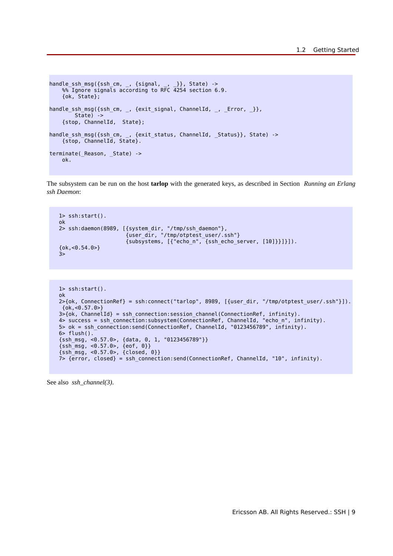```
handle_ssh_msg({ssh_cm, _, {signal, _, _}}, State) ->
 %% Ignore signals according to RFC 4254 section 6.9.
     {ok, State};
handle_ssh_msg({ssh_cm, _, {exit_signal, ChannelId, _, _Error, _}},
        State) ->
     {stop, ChannelId, State};
handle_ssh_msg({ssh_cm, _, {exit_status, ChannelId, _Status}}, State) ->
     {stop, ChannelId, State}.
terminate( Reason, State) ->
     ok.
```
The subsystem can be run on the host **tarlop** with the generated keys, as described in Section *Running an Erlang ssh Daemon*:

```
 1> ssh:start().
   ok
 2> ssh:daemon(8989, [{system_dir, "/tmp/ssh_daemon"},
 {user_dir, "/tmp/otptest_user/.ssh"}
                       {subsystems, [{"echo_n", {ssh_echo_server, [10]}}]}]).
   {ok,<0.54.0>}
   3>
```

```
 1> ssh:start().
   ok
   2>{ok, ConnectionRef} = ssh:connect("tarlop", 8989, [{user_dir, "/tmp/otptest_user/.ssh"}]).
    {ok,<0.57.0>}
   3>{ok, ChannelId} = ssh_connection:session_channel(ConnectionRef, infinity).
  4> success = ssh connection:subsystem(ConnectionRef, ChannelId, "echo n", infinity).
   5> ok = ssh_connection:send(ConnectionRef, ChannelId, "0123456789", infinity).
   6> flush().
   {ssh_msg, <0.57.0>, {data, 0, 1, "0123456789"}}
 {ssh_msg, <0.57.0>, {eof, 0}}
 {ssh_msg, <0.57.0>, {closed, 0}}
 7> {error, closed} = ssh_connection:send(ConnectionRef, ChannelId, "10", infinity).
```
See also *ssh\_channel(3)*.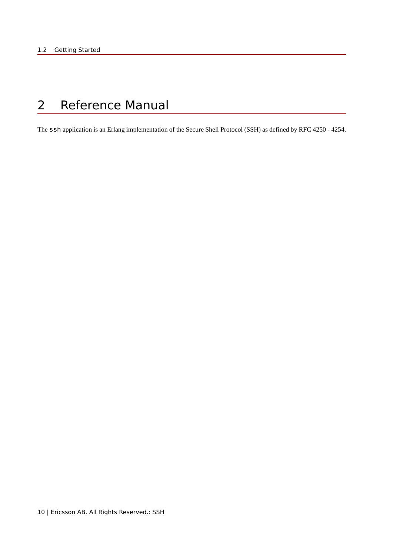# 2 Reference Manual

The ssh application is an Erlang implementation of the Secure Shell Protocol (SSH) as defined by RFC 4250 - 4254.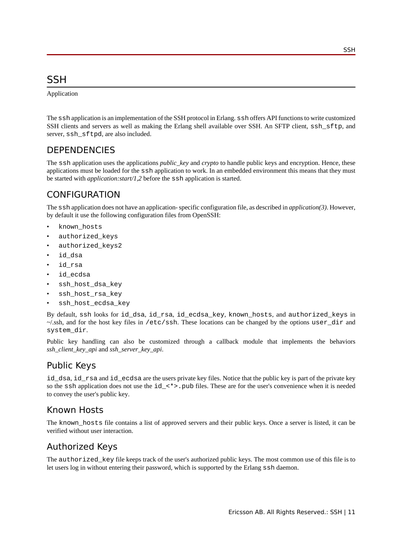# **SSH**

Application

The ssh application is an implementation of the SSH protocol in Erlang. ssh offers API functions to write customized SSH clients and servers as well as making the Erlang shell available over SSH. An SFTP client, ssh\_sftp, and server, ssh\_sftpd, are also included.

# **DEPENDENCIES**

The ssh application uses the applications *public\_key* and *crypto* to handle public keys and encryption. Hence, these applications must be loaded for the ssh application to work. In an embedded environment this means that they must be started with *application:start/1,2* before the ssh application is started.

# CONFIGURATION

The ssh application does not have an application- specific configuration file, as described in *application(3)*. However, by default it use the following configuration files from OpenSSH:

- known hosts
- authorized keys
- authorized\_keys2
- id dsa
- id\_rsa
- id ecdsa
- ssh\_host\_dsa\_key
- ssh\_host\_rsa\_key
- ssh\_host\_ecdsa\_key

By default, ssh looks for id\_dsa, id\_rsa, id\_ecdsa\_key, known\_hosts, and authorized\_keys in  $\sim$ /.ssh, and for the host key files in /etc/ssh. These locations can be changed by the options user dir and system\_dir.

Public key handling can also be customized through a callback module that implements the behaviors *ssh\_client\_key\_api* and *ssh\_server\_key\_api*.

# Public Keys

id dsa, id rsa and id ecdsa are the users private key files. Notice that the public key is part of the private key so the ssh application does not use the id  $\langle$ \*>.pub files. These are for the user's convenience when it is needed to convey the user's public key.

# Known Hosts

The known hosts file contains a list of approved servers and their public keys. Once a server is listed, it can be verified without user interaction.

# Authorized Keys

The authorized key file keeps track of the user's authorized public keys. The most common use of this file is to let users log in without entering their password, which is supported by the Erlang ssh daemon.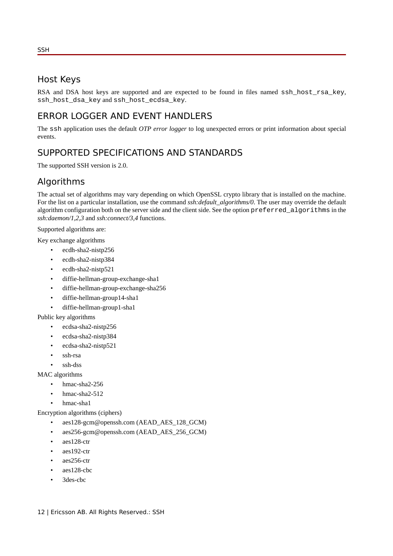# Host Keys

RSA and DSA host keys are supported and are expected to be found in files named ssh host rsa key, ssh\_host\_dsa\_key and ssh\_host\_ecdsa\_key.

# ERROR LOGGER AND EVENT HANDLERS

The ssh application uses the default *OTP error logger* to log unexpected errors or print information about special events.

# SUPPORTED SPECIFICATIONS AND STANDARDS

The supported SSH version is 2.0.

# Algorithms

The actual set of algorithms may vary depending on which OpenSSL crypto library that is installed on the machine. For the list on a particular installation, use the command *ssh:default\_algorithms/0*. The user may override the default algorithm configuration both on the server side and the client side. See the option preferred\_algorithms in the *ssh:daemon/1,2,3* and *ssh:connect/3,4* functions.

Supported algorithms are:

Key exchange algorithms

- ecdh-sha2-nistp256
- ecdh-sha2-nistp384
- ecdh-sha2-nistp521
- diffie-hellman-group-exchange-sha1
- diffie-hellman-group-exchange-sha256
- diffie-hellman-group14-sha1
- diffie-hellman-group1-sha1

Public key algorithms

- ecdsa-sha2-nistp256
- ecdsa-sha2-nistp384
- ecdsa-sha2-nistp521
- ssh-rsa
- ssh-dss

MAC algorithms

- hmac-sha2-256
- hmac-sha2-512
- hmac-sha1

Encryption algorithms (ciphers)

- aes128-gcm@openssh.com (AEAD\_AES\_128\_GCM)
- aes256-gcm@openssh.com (AEAD\_AES\_256\_GCM)
- aes128-ctr
- aes192-ctr
- aes256-ctr
- aes128-cbc
- 3des-cbc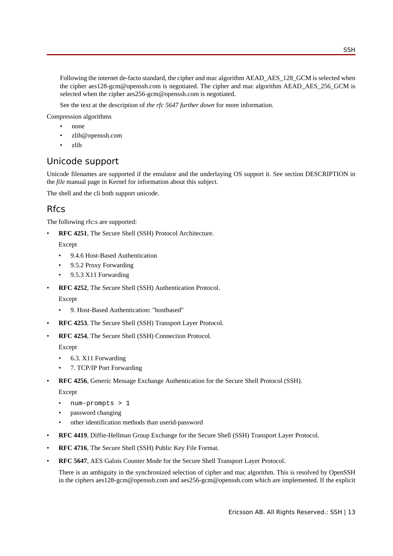Following the internet de-facto standard, the cipher and mac algorithm AEAD\_AES\_128\_GCM is selected when the cipher aes128-gcm@openssh.com is negotiated. The cipher and mac algorithm AEAD AES 256 GCM is selected when the cipher aes256-gcm@openssh.com is negotiated.

See the text at the description of *the rfc 5647 further down* for more information.

Compression algorithms

- none
- zlib@openssh.com
- zlib

### Unicode support

Unicode filenames are supported if the emulator and the underlaying OS support it. See section DESCRIPTION in the *file* manual page in Kernel for information about this subject.

The shell and the cli both support unicode.

### Rfcs

The following rfc:s are supported:

• **[RFC 4251](href)**, The Secure Shell (SSH) Protocol Architecture.

Except

- 9.4.6 Host-Based Authentication
- 9.5.2 Proxy Forwarding
- 9.5.3 X11 Forwarding
- **[RFC 4252](href)**, The Secure Shell (SSH) Authentication Protocol.

Except

- 9. Host-Based Authentication: "hostbased"
- **[RFC 4253](href)**, The Secure Shell (SSH) Transport Layer Protocol.
- **[RFC 4254](href)**, The Secure Shell (SSH) Connection Protocol.

Except

- 6.3. X11 Forwarding
- 7. TCP/IP Port Forwarding
- **[RFC 4256](href)**, Generic Message Exchange Authentication for the Secure Shell Protocol (SSH).

Except

- num-prompts > 1
- password changing
- other identification methods than userid-password
- **[RFC 4419](href)**, Diffie-Hellman Group Exchange for the Secure Shell (SSH) Transport Layer Protocol.
- **[RFC 4716](href)**, The Secure Shell (SSH) Public Key File Format.
- **[RFC 5647](href)**, AES Galois Counter Mode for the Secure Shell Transport Layer Protocol.

There is an ambiguity in the synchronized selection of cipher and mac algorithm. This is resolved by OpenSSH in the ciphers aes128-gcm@openssh.com and aes256-gcm@openssh.com which are implemented. If the explicit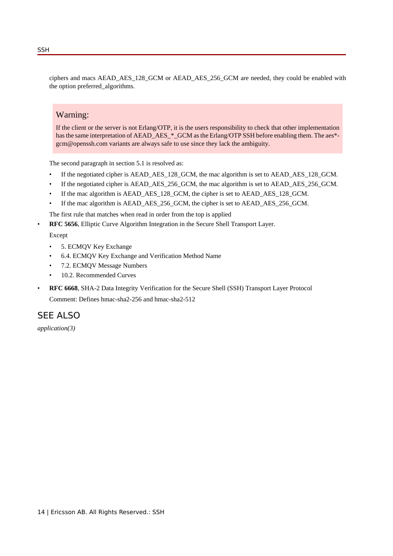ciphers and macs AEAD\_AES\_128\_GCM or AEAD\_AES\_256\_GCM are needed, they could be enabled with the option preferred\_algorithms.

### Warning:

If the client or the server is not Erlang/OTP, it is the users responsibility to check that other implementation has the same interpretation of AEAD\_AES \* GCM as the Erlang/OTP SSH before enabling them. The aes\*gcm@openssh.com variants are always safe to use since they lack the ambiguity.

The second paragraph in section 5.1 is resolved as:

- If the negotiated cipher is AEAD\_AES\_128\_GCM, the mac algorithm is set to AEAD\_AES\_128\_GCM.
- If the negotiated cipher is AEAD\_AES\_256\_GCM, the mac algorithm is set to AEAD\_AES\_256\_GCM.
- If the mac algorithm is AEAD\_AES\_128\_GCM, the cipher is set to AEAD\_AES\_128\_GCM.
- If the mac algorithm is AEAD\_AES\_256\_GCM, the cipher is set to AEAD\_AES\_256\_GCM.

The first rule that matches when read in order from the top is applied

• **[RFC 5656](href)**, Elliptic Curve Algorithm Integration in the Secure Shell Transport Layer.

Except

- 5. ECMQV Key Exchange
- 6.4. ECMQV Key Exchange and Verification Method Name
- 7.2. ECMQV Message Numbers
- 10.2. Recommended Curves
- **[RFC 6668](href)**, SHA-2 Data Integrity Verification for the Secure Shell (SSH) Transport Layer Protocol Comment: Defines hmac-sha2-256 and hmac-sha2-512

# SEE ALSO

*application(3)*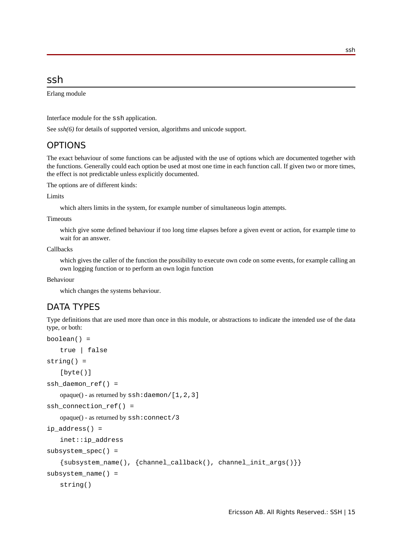# ssh

Erlang module

Interface module for the ssh application.

See  $ssh(6)$  for details of supported version, algorithms and unicode support.

# OPTIONS

The exact behaviour of some functions can be adjusted with the use of options which are documented together with the functions. Generally could each option be used at most one time in each function call. If given two or more times, the effect is not predictable unless explicitly documented.

The options are of different kinds:

Limits

which alters limits in the system, for example number of simultaneous login attempts.

Timeouts

which give some defined behaviour if too long time elapses before a given event or action, for example time to wait for an answer.

#### Callbacks

which gives the caller of the function the possibility to execute own code on some events, for example calling an own logging function or to perform an own login function

#### Behaviour

which changes the systems behaviour.

# DATA TYPES

Type definitions that are used more than once in this module, or abstractions to indicate the intended use of the data type, or both:

```
boolean() =true | false
string() =[byte()]
ssh_daemon_ref() =
   opaque() - as returned by ssh:daemon/[1,2,3]ssh_connection_ref() =
   opaque() - as returned by ssh:connect/3
ip_address() =
   inet::ip_address
subsystem_spec() =
    {subsystem name(), {channel callback(), channel init args()}}
subsystem_name() =
   string()
```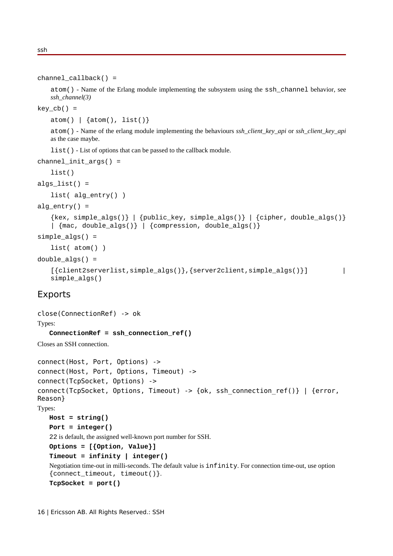```
ssh
```

```
channel callback() =
```
atom() - Name of the Erlang module implementing the subsystem using the ssh\_channel behavior, see *ssh\_channel(3)*

#### $key_cbb() =$

```
atom() \{atom(), list()\}
```
atom() - Name of the erlang module implementing the behaviours *ssh\_client\_key\_api* or *ssh\_client\_key\_api* as the case maybe.

list() - List of options that can be passed to the callback module.

```
channel init args() =list()
algs_list() =
   list( alg entry() )
alg_entry() =
   \{kex, simple\_algs() \} | \{public\_key, simple\_algs() \} | \{cipher, double\_algs() \}| {mac, double_algs()} | {compression, double_algs()}
simple algs() =list( atom() )
double alqs() =[{client2serverlist,simple_algs()},{server2client,simple_algs()}] |
   simple_algs()
```
### Exports

```
close(ConnectionRef) -> ok
Types:
   ConnectionRef = ssh_connection_ref()
Closes an SSH connection.
connect(Host, Port, Options) ->
connect(Host, Port, Options, Timeout) ->
connect(TcpSocket, Options) ->
connect(TcpSocket, Options, Timeout) -> {ok, ssh connection ref()} | {error,
Reason}
Types:
   Host = string()
   Port = integer()
   22 is default, the assigned well-known port number for SSH.
   Options = [{Option, Value}]
   Timeout = infinity | integer()
   Negotiation time-out in milli-seconds. The default value is infinity. For connection time-out, use option
   {connect_timeout, timeout()}.
   TcpSocket = port()
```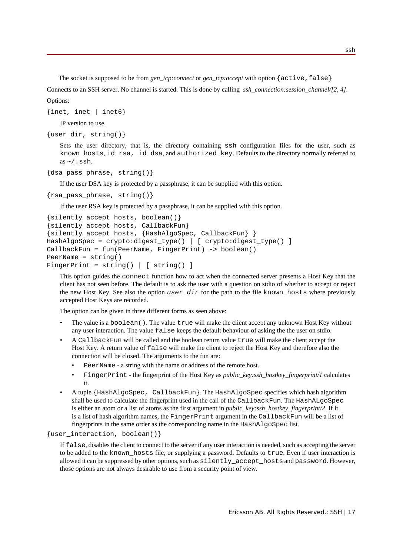The socket is supposed to be from *gen\_tcp:connect* or *gen\_tcp:accept* with option {active,false}

Connects to an SSH server. No channel is started. This is done by calling *ssh\_connection:session\_channel/[2, 4]*. Options:

```
{inet, inet | inet6}
```
IP version to use.

```
{user_dir, string()}
```
Sets the user directory, that is, the directory containing ssh configuration files for the user, such as known hosts, id rsa, id dsa, and authorized key. Defaults to the directory normally referred to as  $\sim$  / . ssh.

```
\{dsa\ \text{pass phrase, string()}\}\
```
If the user DSA key is protected by a passphrase, it can be supplied with this option.

 $\{rsa\ pass\ phrase, string()\}$ 

If the user RSA key is protected by a passphrase, it can be supplied with this option.

```
{silently_accept_hosts, boolean()}
{silently_accept_hosts, CallbackFun}
{silently_accept_hosts, {HashAlgoSpec, CallbackFun} }
HashAlgoSpec = crypto:digest_type() | [ crypto:digest_type() ]
CallbackFun = fun(PeerName, FingerPrint) -> boolean()
PeerName = string()
FingerPrint = string() | [string()]
```
This option guides the connect function how to act when the connected server presents a Host Key that the client has not seen before. The default is to ask the user with a question on stdio of whether to accept or reject the new Host Key. See also the option user\_dir for the path to the file known\_hosts where previously accepted Host Keys are recorded.

The option can be given in three different forms as seen above:

- The value is a boolean(). The value true will make the client accept any unknown Host Key without any user interaction. The value false keeps the default behaviour of asking the the user on stdio.
- A CallbackFun will be called and the boolean return value true will make the client accept the Host Key. A return value of false will make the client to reject the Host Key and therefore also the connection will be closed. The arguments to the fun are:
	- PeerName a string with the name or address of the remote host.
	- FingerPrint the fingerprint of the Host Key as *public\_key:ssh\_hostkey\_fingerprint/1* calculates it.
- A tuple {HashAlgoSpec, CallbackFun}. The HashAlgoSpec specifies which hash algorithm shall be used to calculate the fingerprint used in the call of the CallbackFun. The HashALgoSpec is either an atom or a list of atoms as the first argument in *public\_key:ssh\_hostkey\_fingerprint/2*. If it is a list of hash algorithm names, the FingerPrint argument in the CallbackFun will be a list of fingerprints in the same order as the corresponding name in the HashAlgoSpec list.

#### {user\_interaction, boolean()}

If false, disables the client to connect to the server if any user interaction is needed, such as accepting the server to be added to the known hosts file, or supplying a password. Defaults to true. Even if user interaction is allowed it can be suppressed by other options, such as silently\_accept\_hosts and password. However, those options are not always desirable to use from a security point of view.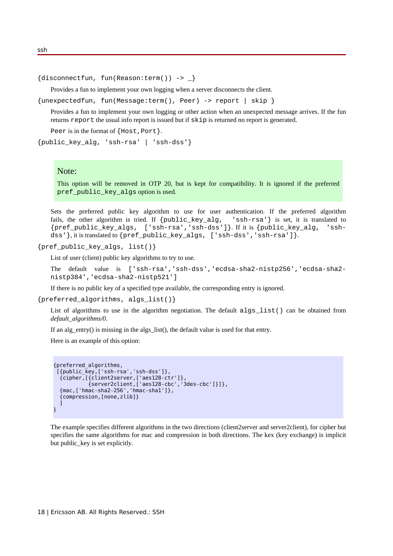{disconnectfun, fun(Reason:term()) -> \_}

Provides a fun to implement your own logging when a server disconnects the client.

{unexpectedfun, fun(Message:term(), Peer) -> report | skip }

Provides a fun to implement your own logging or other action when an unexpected message arrives. If the fun returns report the usual info report is issued but if skip is returned no report is generated.

Peer is in the format of  ${Host, Port}.$ 

{public\_key\_alg, 'ssh-rsa' | 'ssh-dss'}

#### Note:

This option will be removed in OTP 20, but is kept for compatibility. It is ignored if the preferred pref\_public\_key\_algs option is used.

Sets the preferred public key algorithm to use for user authentication. If the preferred algorithm fails, the other algorithm is tried. If {public\_key\_alg, 'ssh-rsa'} is set, it is translated to {pref\_public\_key\_algs, ['ssh-rsa','ssh-dss']}. If it is {public\_key\_alg, 'sshdss'}, it is translated to {pref\_public\_key\_algs, ['ssh-dss','ssh-rsa']}.

{pref\_public\_key\_algs, list()}

List of user (client) public key algorithms to try to use.

The default value is ['ssh-rsa','ssh-dss','ecdsa-sha2-nistp256','ecdsa-sha2 nistp384','ecdsa-sha2-nistp521']

If there is no public key of a specified type available, the corresponding entry is ignored.

{preferred\_algorithms, algs\_list()}

List of algorithms to use in the algorithm negotiation. The default algs\_list() can be obtained from *default\_algorithms/0*.

If an alg\_entry() is missing in the algs\_list(), the default value is used for that entry.

Here is an example of this option:

```
{preferred_algorithms, 
 [{public_\bar{k}ey,['ssh-rsa','ssh-dss']},
   {cipher,[{client2server,['aes128-ctr']},
             {server2client,['aes128-cbc','3des-cbc']}]},
   {mac,['hmac-sha2-256','hmac-sha1']},
   {compression,[none,zlib]}
   ]
}
```
The example specifies different algorithms in the two directions (client2server and server2client), for cipher but specifies the same algorithms for mac and compression in both directions. The kex (key exchange) is implicit but public\_key is set explicitly.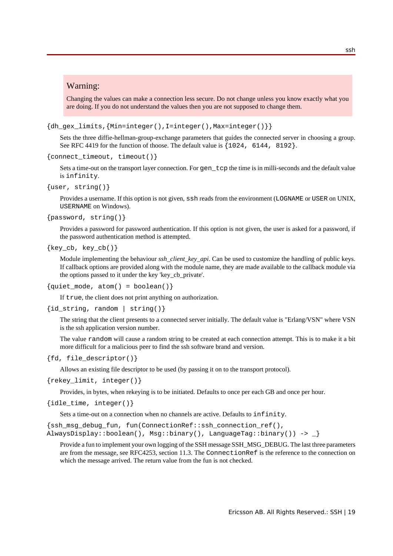### Warning:

Changing the values can make a connection less secure. Do not change unless you know exactly what you are doing. If you do not understand the values then you are not supposed to change them.

```
{dh_gex_limits,{Min=integer(),I=integer(),Max=integer()}}
```
Sets the three diffie-hellman-group-exchange parameters that guides the connected server in choosing a group. See RFC 4419 for the function of thoose. The default value is  $\{1024, 6144, 8192\}$ .

```
{connect_timeout, timeout()}
```
Sets a time-out on the transport layer connection. For gen\_tcp the time is in milli-seconds and the default value is infinity.

```
\{user, string() \}
```
Provides a username. If this option is not given, ssh reads from the environment (LOGNAME or USER on UNIX, USERNAME on Windows).

```
{password, string()}
```
Provides a password for password authentication. If this option is not given, the user is asked for a password, if the password authentication method is attempted.

```
\{key\_cb, key\_cb() \}
```
Module implementing the behaviour *ssh\_client\_key\_api*. Can be used to customize the handling of public keys. If callback options are provided along with the module name, they are made available to the callback module via the options passed to it under the key 'key\_cb\_private'.

{quiet mode, atom() = boolean()}

If true, the client does not print anything on authorization.

```
\{id\_string, random \mid string() \}
```
The string that the client presents to a connected server initially. The default value is "Erlang/VSN" where VSN is the ssh application version number.

The value random will cause a random string to be created at each connection attempt. This is to make it a bit more difficult for a malicious peer to find the ssh software brand and version.

```
{fd, file_descriptor()}
```
Allows an existing file descriptor to be used (by passing it on to the transport protocol).

```
{rekey_limit, integer()}
```
Provides, in bytes, when rekeying is to be initiated. Defaults to once per each GB and once per hour.

```
{idle_time, integer()}
```
Sets a time-out on a connection when no channels are active. Defaults to infinity.

```
{ssh_msg_debug_fun, fun(ConnectionRef::ssh_connection_ref(),
AlwaysDisplay::boolean(), Msg::binary(), LanguageTag::binary()) -> _}
```
Provide a fun to implement your own logging of the SSH message SSH\_MSG\_DEBUG. The last three parameters are from the message, see RFC4253, section 11.3. The ConnectionRef is the reference to the connection on which the message arrived. The return value from the fun is not checked.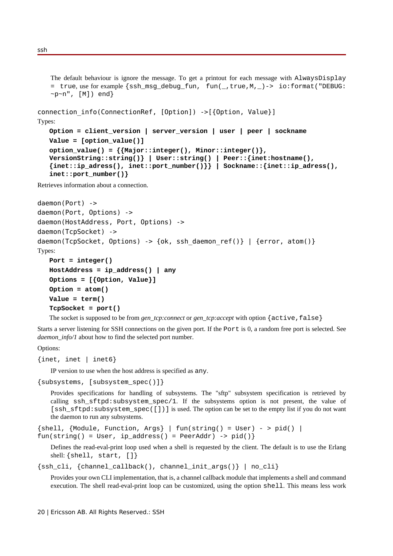```
The default behaviour is ignore the message. To get a printout for each message with AlwaysDisplay
   = true, use for example {ssh_msg_debug_fun, fun(_,true,M,_)-> io:format("DEBUG:
   \sim p\sim n", [M]) end}
connection info(ConnectionRef, [Option]) ->[{Option, Value}]
Types:
   Option = client_version | server_version | user | peer | sockname
   Value = [option_value()]
   option_value() = {{Major::integer(), Minor::integer()},
   VersionString::string()} | User::string() | Peer::{inet:hostname(),
   {inet::ip_adress(), inet::port_number()}} | Sockname::{inet::ip_adress(),
   inet::port_number()}
Retrieves information about a connection.
daemon(Port) ->
```

```
daemon(Port, Options) ->
daemon(HostAddress, Port, Options) ->
daemon(TcpSocket) ->
daemon(TcpSocket, Options) -> {ok, ssh_daemon_ref()} | {error, atom()}
Types:
   Port = integer()
   HostAddress = ip_address() | any
   Options = [{Option, Value}]
```

```
Option = atom()
Value = term()
TcpSocket = port()
```
The socket is supposed to be from *gen\_tcp:connect* or *gen\_tcp:accept* with option {active, false}

Starts a server listening for SSH connections on the given port. If the Port is 0, a random free port is selected. See *daemon info/1* about how to find the selected port number.

Options:

```
{inet, inet | inet6}
```
IP version to use when the host address is specified as any.

{subsystems, [subsystem\_spec()]}

Provides specifications for handling of subsystems. The "sftp" subsystem specification is retrieved by calling ssh\_sftpd:subsystem\_spec/1. If the subsystems option is not present, the value of [ssh\_sftpd:subsystem\_spec([])] is used. The option can be set to the empty list if you do not want the daemon to run any subsystems.

```
{shell, \{Module, Function, Args\}} | fun(string() = User) - > pid() |
fun(string() = User, ip\_address() = PeerAddr) \rightarrow pid()
```
Defines the read-eval-print loop used when a shell is requested by the client. The default is to use the Erlang shell: {shell, start, []}

{ssh\_cli, {channel\_callback(), channel\_init\_args()} | no\_cli}

Provides your own CLI implementation, that is, a channel callback module that implements a shell and command execution. The shell read-eval-print loop can be customized, using the option shell. This means less work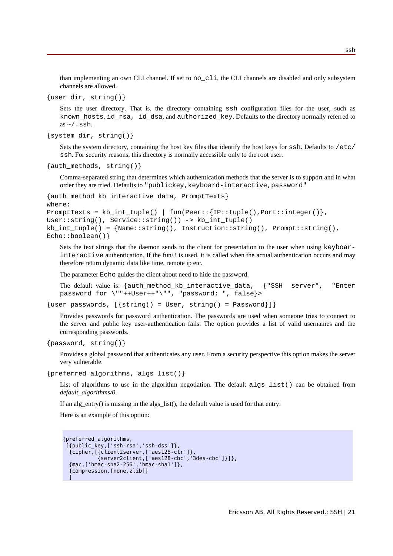than implementing an own CLI channel. If set to no\_cli, the CLI channels are disabled and only subsystem channels are allowed.

```
{user_dir, string()}
```
Sets the user directory. That is, the directory containing ssh configuration files for the user, such as known\_hosts, id\_rsa, id\_dsa, and authorized\_key. Defaults to the directory normally referred to as  $\sim/$ . ssh.

```
{system dir, string()}
```
Sets the system directory, containing the host key files that identify the host keys for ssh. Defaults to /etc/ ssh. For security reasons, this directory is normally accessible only to the root user.

```
{auth_methods, string()}
```
Comma-separated string that determines which authentication methods that the server is to support and in what order they are tried. Defaults to "publickey,keyboard-interactive,password"

```
{auth_method_kb_interactive_data, PromptTexts}
where:
PromptTexts = kb_int_tuple() | fun(Peer::{IP::tuple(),Port::integer()},
User::string(), Service::string()) -> kb_int_tuple()
kb_int_tuple() = \{Name::string(), Instruction::string(), Prompt::string(),
```

```
Echo::boolean() }
```
Sets the text strings that the daemon sends to the client for presentation to the user when using keyboarinteractive authentication. If the fun/3 is used, it is called when the actual authentication occurs and may therefore return dynamic data like time, remote ip etc.

The parameter Echo guides the client about need to hide the password.

```
The default value is: {auth_method_kb_interactive_data, {"SSH server", "Enter
password for \""++User++"\"", "password: ", false}>
```
 $\{user\_passwords, [\{string() = User, string() = Passing() \}$ 

Provides passwords for password authentication. The passwords are used when someone tries to connect to the server and public key user-authentication fails. The option provides a list of valid usernames and the corresponding passwords.

```
{password, string()}
```
Provides a global password that authenticates any user. From a security perspective this option makes the server very vulnerable.

```
{preferred_algorithms, algs_list()}
```
List of algorithms to use in the algorithm negotiation. The default algs list() can be obtained from *default\_algorithms/0*.

If an alg\_entry() is missing in the algs\_list(), the default value is used for that entry.

Here is an example of this option:

```
{preferred_algorithms, 
 [{public_\bar{k}ey,['ssh-rsa','ssh-dss']},
   {cipher,[{client2server,['aes128-ctr']},
            {server2client,['aes128-cbc','3des-cbc']}]},
   {mac,['hmac-sha2-256','hmac-sha1']},
   {compression,[none,zlib]}
 ]
```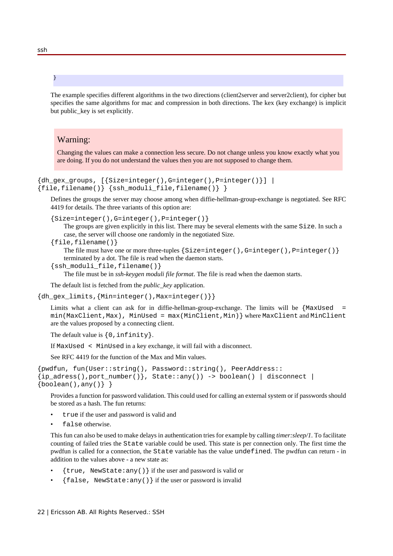#### }

The example specifies different algorithms in the two directions (client2server and server2client), for cipher but specifies the same algorithms for mac and compression in both directions. The kex (key exchange) is implicit but public\_key is set explicitly.

#### Warning:

Changing the values can make a connection less secure. Do not change unless you know exactly what you are doing. If you do not understand the values then you are not supposed to change them.

```
{dh_gex_groups, [{Size=integer(),G=integer(),P=integer()}] |
{file, filename() } {ssh_model_file, filename() }
```
Defines the groups the server may choose among when diffie-hellman-group-exchange is negotiated. See RFC 4419 for details. The three variants of this option are:

```
{Size=integer(),G=integer(),P=integer()}
```
The groups are given explicitly in this list. There may be several elements with the same Size. In such a case, the server will choose one randomly in the negotiated Size.

{file,filename()}

```
The file must have one or more three-tuples {size=integer()}, G=integer(), P=integer()}
terminated by a dot. The file is read when the daemon starts.
```
 $\{ \text{ssh moduli file}, \text{filename}() \}$ 

The file must be in *ssh-keygen moduli file format*. The file is read when the daemon starts.

The default list is fetched from the *public\_key* application.

```
{dh_gex_limits,{Min=integer(),Max=integer()}}
```
Limits what a client can ask for in diffie-hellman-group-exchange. The limits will be  ${MaxUsed}$  = min(MaxClient,Max), MinUsed = max(MinClient,Min)} where MaxClient and MinClient are the values proposed by a connecting client.

The default value is  $\{0, \text{infinity}\}.$ 

If MaxUsed < MinUsed in a key exchange, it will fail with a disconnect.

See RFC 4419 for the function of the Max and Min values.

```
{pwdfun, fun(User::string(), Password::string(), PeerAddress::
{ip\_adress()}, port\_number(), State::any() -> boolean() | disconnect |
\{boolean(), any() \}}
```
Provides a function for password validation. This could used for calling an external system or if passwords should be stored as a hash. The fun returns:

- true if the user and password is valid and
- false otherwise.

This fun can also be used to make delays in authentication tries for example by calling *timer:sleep/1*. To facilitate counting of failed tries the State variable could be used. This state is per connection only. The first time the pwdfun is called for a connection, the State variable has the value undefined. The pwdfun can return - in addition to the values above - a new state as:

- $\{true, {\t{NewState: any()}}\}$  if the user and password is valid or
- {false, NewState:any()} if the user or password is invalid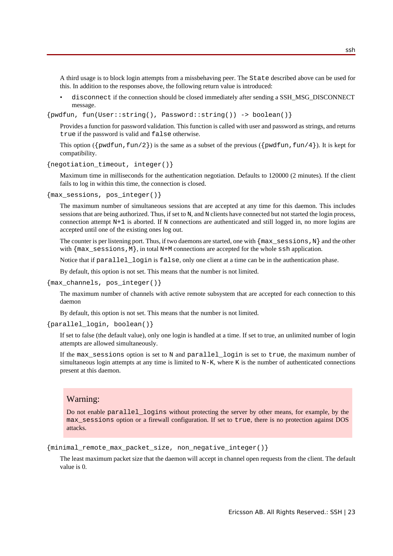A third usage is to block login attempts from a missbehaving peer. The State described above can be used for this. In addition to the responses above, the following return value is introduced:

• disconnect if the connection should be closed immediately after sending a SSH\_MSG\_DISCONNECT message.

 $\{ \text{pwdfun}, \text{ fun}(\text{User}: \text{string}() , \text{Password}: \text{string}() \} \rightarrow \text{boolean}() \}$ 

Provides a function for password validation. This function is called with user and password as strings, and returns true if the password is valid and false otherwise.

This option ( $\{pwdfun,fun/2\}$ ) is the same as a subset of the previous ( $\{pwdfun,fun/4\}$ ). It is kept for compatibility.

{ $negotiation$  timeout,  $integer()$ }

Maximum time in milliseconds for the authentication negotiation. Defaults to 120000 (2 minutes). If the client fails to log in within this time, the connection is closed.

{max\_sessions, pos\_integer()}

The maximum number of simultaneous sessions that are accepted at any time for this daemon. This includes sessions that are being authorized. Thus, if set to N, and N clients have connected but not started the login process, connection attempt N+1 is aborted. If N connections are authenticated and still logged in, no more logins are accepted until one of the existing ones log out.

The counter is per listening port. Thus, if two daemons are started, one with  $\{\text{max}\_\text{sessions},N\}$  and the other with  ${max_s}$ sessions, M, in total N+M connections are accepted for the whole ssh application.

Notice that if parallel\_login is false, only one client at a time can be in the authentication phase.

By default, this option is not set. This means that the number is not limited.

{max\_channels, pos\_integer()}

The maximum number of channels with active remote subsystem that are accepted for each connection to this daemon

By default, this option is not set. This means that the number is not limited.

{parallel\_login, boolean()}

If set to false (the default value), only one login is handled at a time. If set to true, an unlimited number of login attempts are allowed simultaneously.

If the max\_sessions option is set to N and parallel\_login is set to true, the maximum number of simultaneous login attempts at any time is limited to N-K, where K is the number of authenticated connections present at this daemon.

#### Warning:

Do not enable parallel\_logins without protecting the server by other means, for example, by the max\_sessions option or a firewall configuration. If set to true, there is no protection against DOS attacks.

{minimal\_remote\_max\_packet\_size, non\_negative\_integer()}

The least maximum packet size that the daemon will accept in channel open requests from the client. The default value is 0.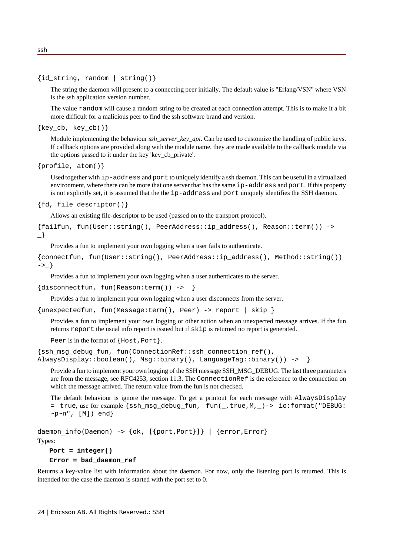{id string, random  $|$  string()}

The string the daemon will present to a connecting peer initially. The default value is "Erlang/VSN" where VSN is the ssh application version number.

The value random will cause a random string to be created at each connection attempt. This is to make it a bit more difficult for a malicious peer to find the ssh software brand and version.

 $\{key cb, key cb() \}$ 

Module implementing the behaviour *ssh\_server\_key\_api*. Can be used to customize the handling of public keys. If callback options are provided along with the module name, they are made available to the callback module via the options passed to it under the key 'key\_cb\_private'.

```
{profile, atom()}
```
Used together with ip-address and port to uniquely identify a ssh daemon. This can be useful in a virtualized environment, where there can be more that one server that has the same ip-address and port. If this property is not explicitly set, it is assumed that the the ip-address and port uniquely identifies the SSH daemon.

```
{fd, file_descriptor()}
```
Allows an existing file-descriptor to be used (passed on to the transport protocol).

```
{failfun, fun(User::string(), PeerAddress::ip_address(), Reason::term()) ->
_}
```
Provides a fun to implement your own logging when a user fails to authenticate.

```
{connectfun, fun(User::string(), PeerAddress::ip_address(), Method::string())
\rightarrow }
```
Provides a fun to implement your own logging when a user authenticates to the server.

 $\{disconnectfun, fun(Reason:term()) \rightarrow \}$ 

Provides a fun to implement your own logging when a user disconnects from the server.

{unexpectedfun, fun(Message:term(), Peer) -> report | skip }

Provides a fun to implement your own logging or other action when an unexpected message arrives. If the fun returns report the usual info report is issued but if skip is returned no report is generated.

Peer is in the format of {Host, Port}.

```
{ssh_msq_debug_fun, fun(ConnectionRef::ssh_connection ref(),
AlwaysDisplay::boolean(), Msg::binary(), LanguageTag::binary()) -> _}
```
Provide a fun to implement your own logging of the SSH message SSH\_MSG\_DEBUG. The last three parameters are from the message, see RFC4253, section 11.3. The ConnectionRef is the reference to the connection on which the message arrived. The return value from the fun is not checked.

The default behaviour is ignore the message. To get a printout for each message with AlwaysDisplay = true, use for example {ssh\_msg\_debug\_fun, fun(\_,true,M,\_)-> io:format("DEBUG:  $\sim p\sim n$ ", [M]) end}

```
daemon info(Daemon) -> {ok, [{port,Port}]} | {error,Error}
Types:
```
**Port = integer() Error = bad\_daemon\_ref**

Returns a key-value list with information about the daemon. For now, only the listening port is returned. This is intended for the case the daemon is started with the port set to 0.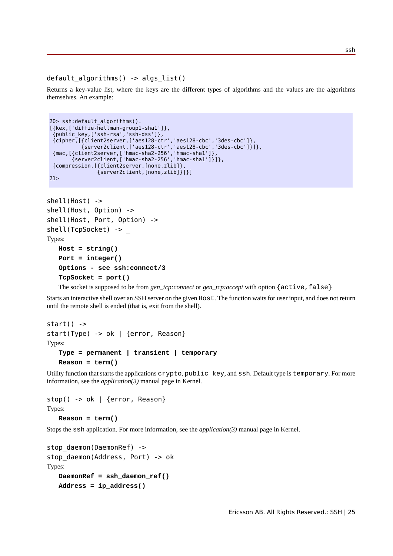#### default algorithms()  $\rightarrow$  algs list()

Returns a key-value list, where the keys are the different types of algorithms and the values are the algorithms themselves. An example:

```
20> ssh:default_algorithms().
[{kex,['diffie-\overline{h}ellman-group1-shal']},
  {public_key,['ssh-rsa','ssh-dss']},
 {cipher,[{client2server,['aes128-ctr','aes128-cbc','3des-cbc']},
 {server2client,['aes128-ctr','aes128-cbc','3des-cbc']}]},
 {mac,[{client2server,['hmac-sha2-256','hmac-sha1']},
 {server2client,['hmac-sha2-256','hmac-sha1']}]},
  {compression,[{client2server,[none,zlib]},
                {server2client,[none,zlib]}]}]
21>
```

```
shell(Host) ->
shell(Host, Option) ->
shell(Host, Port, Option) ->
shell(TcpSocket) -> _
Types:
  Host = string()
  Port = integer()
   Options - see ssh:connect/3
```
**TcpSocket = port()**

The socket is supposed to be from *gen* tcp:connect or *gen* tcp:accept with option {active, false}

Starts an interactive shell over an SSH server on the given Host. The function waits for user input, and does not return until the remote shell is ended (that is, exit from the shell).

```
start() ->
start(Type) -> ok | {error, Reason}
Types:
   Type = permanent | transient | temporary
   Reason = term()
```
Utility function that starts the applications crypto, public\_key, and ssh. Default type is temporary. For more information, see the *application(3)* manual page in Kernel.

```
stop() -> ok | {error, Reason}
Types:
```

```
Reason = term()
```
Stops the ssh application. For more information, see the *application(3)* manual page in Kernel.

```
stop_daemon(DaemonRef) ->
stop daemon(Address, Port) -> ok
Types:
   DaemonRef = ssh_daemon_ref()
   Address = ip_address()
```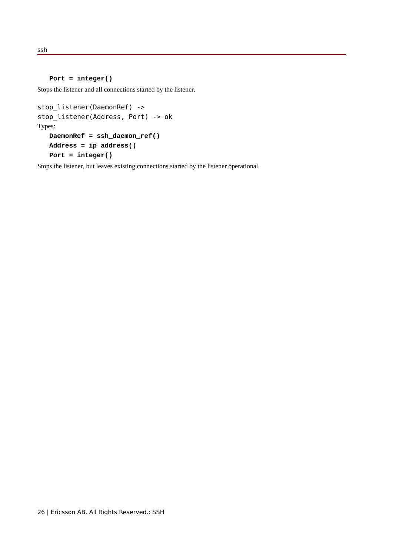**Port = integer()**

Stops the listener and all connections started by the listener.

```
stop listener(DaemonRef) ->
stop_listener(Address, Port) -> ok
Types:
   DaemonRef = ssh_daemon_ref()
   Address = ip_address()
   Port = integer()
```
Stops the listener, but leaves existing connections started by the listener operational.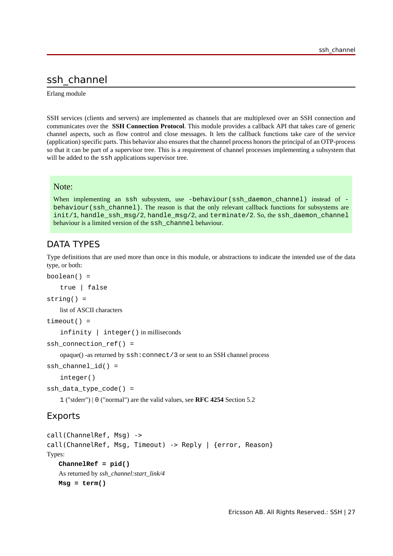# ssh channel

Erlang module

SSH services (clients and servers) are implemented as channels that are multiplexed over an SSH connection and communicates over the **[SSH Connection Protocol](href)**. This module provides a callback API that takes care of generic channel aspects, such as flow control and close messages. It lets the callback functions take care of the service (application) specific parts. This behavior also ensures that the channel process honors the principal of an OTP-process so that it can be part of a supervisor tree. This is a requirement of channel processes implementing a subsystem that will be added to the ssh applications supervisor tree.

### Note:

When implementing an ssh subsystem, use -behaviour(ssh\_daemon\_channel) instead of behaviour (ssh\_channel). The reason is that the only relevant callback functions for subsystems are init/1, handle\_ssh\_msg/2, handle\_msg/2, and terminate/2. So, the ssh\_daemon\_channel behaviour is a limited version of the ssh\_channel behaviour.

### DATA TYPES

Type definitions that are used more than once in this module, or abstractions to indicate the intended use of the data type, or both:

```
boolean() =
```

```
true | false
```

```
string() =
```
list of ASCII characters

```
timeout() =
```
infinity | integer() in milliseconds

```
ssh connection ref() =
```
opaque() -as returned by ssh:connect/3 or sent to an SSH channel process

```
ssh channel id() =
```
integer()

ssh data type  $code() =$ 

1 ("stderr") | 0 ("normal") are the valid values, see **[RFC 4254](href)** Section 5.2

### Exports

```
call(ChannelRef, Msg) ->
call(ChannelRef, Msg, Timeout) -> Reply | {error, Reason}
Types:
   ChannelRef = pid()
   As returned by ssh_channel:start_link/4
   Msg = term()
```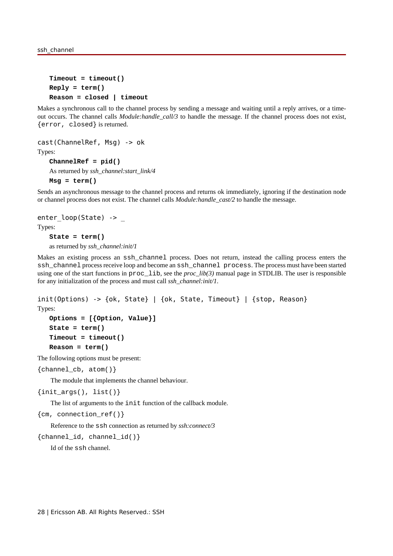```
Timeout = timeout()
Reply = term()
Reason = closed | timeout
```
Makes a synchronous call to the channel process by sending a message and waiting until a reply arrives, or a timeout occurs. The channel calls *Module:handle\_call/3* to handle the message. If the channel process does not exist, {error, closed} is returned.

```
cast(ChannelRef, Msg) -> ok
Types:
```
**ChannelRef = pid()** As returned by *ssh\_channel:start\_link/4* **Msg = term()**

Sends an asynchronous message to the channel process and returns ok immediately, ignoring if the destination node or channel process does not exist. The channel calls *Module:handle\_cast/2* to handle the message.

```
enter loop(State) ->
Types:
   State = term()
```
as returned by *ssh\_channel:init/1*

Makes an existing process an ssh\_channel process. Does not return, instead the calling process enters the ssh\_channel process receive loop and become an ssh\_channel process. The process must have been started using one of the start functions in proc\_lib, see the *proc\_lib(3)* manual page in STDLIB. The user is responsible for any initialization of the process and must call *ssh\_channel:init/1*.

```
init(Options) -> {ok, State} | {ok, State, Timeout} | {stop, Reason}
Types:
   Options = [{Option, Value}]
   State = term()
   Timeout = timeout()
   Reason = term()
```
The following options must be present:

{channel\_cb, atom()}

The module that implements the channel behaviour.

```
\{init\_args(), list()
```
The list of arguments to the init function of the callback module.

```
\{\textttcm, connection ref()\}
```
Reference to the ssh connection as returned by *ssh:connect/3*

```
{channel_id, channel_id()}
```
Id of the ssh channel.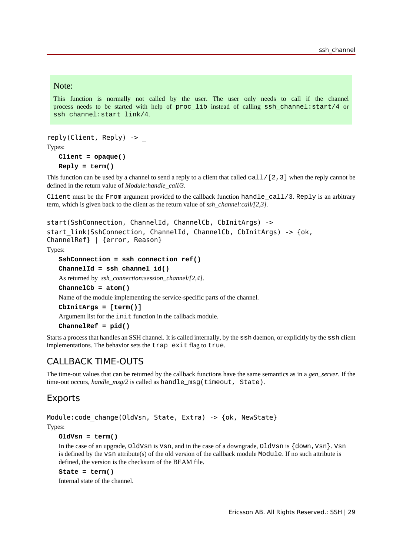#### Note:

This function is normally not called by the user. The user only needs to call if the channel process needs to be started with help of proc\_lib instead of calling ssh\_channel:start/4 or ssh\_channel: start\_link/4.

```
reply(Client, Reply) -> _
Types:
   Client = opaque()
   Reply = term()
```
This function can be used by a channel to send a reply to a client that called call/[2,3] when the reply cannot be defined in the return value of *Module:handle\_call/3*.

Client must be the From argument provided to the callback function handle\_call/3. Reply is an arbitrary term, which is given back to the client as the return value of *ssh\_channel:call/[2,3].*

```
start(SshConnection, ChannelId, ChannelCb, CbInitArgs) ->
start link(SshConnection, ChannelId, ChannelCb, CbInitArgs) -> {ok,
ChannelRef} | {error, Reason}
```
Types:

```
SshConnection = ssh_connection_ref()
ChannelId = ssh_channel_id()
As returned by ssh_connection:session_channel/[2,4].
ChannelCb = atom()
```
Name of the module implementing the service-specific parts of the channel.

```
CbInitArgs = [term()]
```
Argument list for the init function in the callback module.

**ChannelRef = pid()**

Starts a process that handles an SSH channel. It is called internally, by the ssh daemon, or explicitly by the ssh client implementations. The behavior sets the trap\_exit flag to true.

### CALLBACK TIME-OUTS

The time-out values that can be returned by the callback functions have the same semantics as in a *gen\_server*. If the time-out occurs, *handle\_msg/2* is called as handle\_msg(timeout, State).

### Exports

Module:code\_change(OldVsn, State, Extra) -> {ok, NewState}

Types:

```
OldVsn = term()
```
In the case of an upgrade, OldVsn is Vsn, and in the case of a downgrade, OldVsn is  $\{\text{down},\text{Vsn}\}$ . Vsn is defined by the vsn attribute(s) of the old version of the callback module Module. If no such attribute is defined, the version is the checksum of the BEAM file.

```
State = term()
```
Internal state of the channel.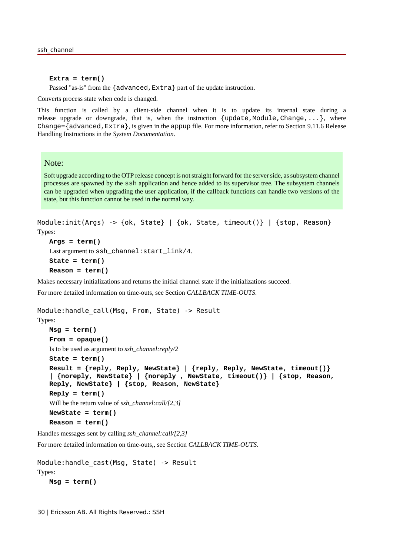#### **Extra = term()**

Passed "as-is" from the {advanced, Extra} part of the update instruction.

Converts process state when code is changed.

This function is called by a client-side channel when it is to update its internal state during a release upgrade or downgrade, that is, when the instruction  $\{update, Module, Change, \ldots\}$ , where Change={advanced,Extra}, is given in the appup file. For more information, refer to Section 9.11.6 Release Handling Instructions in the *System Documentation*.

#### Note:

Soft upgrade according to the OTP release concept is not straight forward for the server side, as subsystem channel processes are spawned by the ssh application and hence added to its supervisor tree. The subsystem channels can be upgraded when upgrading the user application, if the callback functions can handle two versions of the state, but this function cannot be used in the normal way.

```
Module: init(Args) -> {ok, State} | {ok, State, timeout()} | {stop, Reason}
Types:
```

```
Args = term()
Last argument to ssh_channel: start_link/4.
State = term()
Reason = term()
```
Makes necessary initializations and returns the initial channel state if the initializations succeed.

For more detailed information on time-outs, see Section *CALLBACK TIME-OUTS*.

```
Module: handle call(Msg, From, State) -> Result
```

```
Types:
   Msg = term()
   From = opaque()
   Is to be used as argument to ssh_channel:reply/2
   State = term()
   Result = {reply, Reply, NewState} | {reply, Reply, NewState, timeout()}
   | {noreply, NewState} | {noreply , NewState, timeout()} | {stop, Reason,
   Reply, NewState} | {stop, Reason, NewState}
   Reply = term()
   Will be the return value of ssh_channel:call/[2,3]
   NewState = term()
   Reason = term()
```
Handles messages sent by calling *ssh\_channel:call/[2,3]*

For more detailed information on time-outs,, see Section *CALLBACK TIME-OUTS*.

```
Module: handle cast(Msg, State) -> Result
Types:
   Msg = term()
```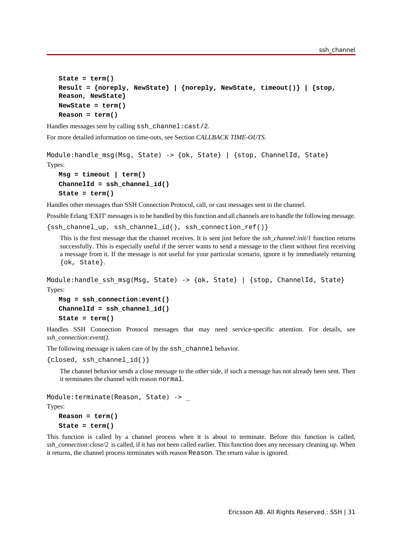```
State = term()
Result = {noreply, NewState} | {noreply, NewState, timeout()} | {stop,
Reason, NewState}
NewState = term()
Reason = term()
```
Handles messages sent by calling ssh\_channel: cast/2.

For more detailed information on time-outs, see Section *CALLBACK TIME-OUTS*.

```
Module:handle msg(Msg, State) -> {ok, State} | {stop, ChannelId, State}
Types:
   Msg = timeout | term()
```

```
ChannelId = ssh_channel_id()
State = term()
```
Handles other messages than SSH Connection Protocol, call, or cast messages sent to the channel.

Possible Erlang 'EXIT' messages is to be handled by this function and all channels are to handle the following message.

{ssh\_channel\_up, ssh\_channel\_id(), ssh\_connection\_ref()}

This is the first message that the channel receives. It is sent just before the *ssh\_channel:init/1* function returns successfully. This is especially useful if the server wants to send a message to the client without first receiving a message from it. If the message is not useful for your particular scenario, ignore it by immediately returning {ok, State}.

```
Module:handle ssh msg(Msg, State) -> {ok, State} | {stop, ChannelId, State}
Types:
```

```
Msg = ssh_connection:event()
ChannelId = ssh_channel_id()
State = term()
```
Handles SSH Connection Protocol messages that may need service-specific attention. For details, see *ssh\_connection:event()*.

The following message is taken care of by the  $\text{ssh\_channel}$  behavior.

```
{closed, ssh channel id()}
```
The channel behavior sends a close message to the other side, if such a message has not already been sent. Then it terminates the channel with reason normal.

```
Module: terminate(Reason, State) ->
Types:
   Reason = term()
```
**State = term()**

This function is called by a channel process when it is about to terminate. Before this function is called, *ssh\_connection:close/2* is called, if it has not been called earlier. This function does any necessary cleaning up. When it returns, the channel process terminates with reason Reason. The return value is ignored.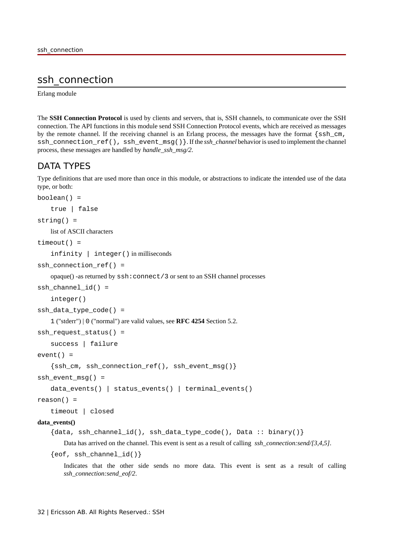# ssh connection

Erlang module

The **[SSH Connection Protocol](href)** is used by clients and servers, that is, SSH channels, to communicate over the SSH connection. The API functions in this module send SSH Connection Protocol events, which are received as messages by the remote channel. If the receiving channel is an Erlang process, the messages have the format  $\{ \text{ssh\_cm}, \}$ ssh\_connection\_ref(), ssh\_event\_msg()}. If the *ssh\_channel* behavior is used to implement the channel process, these messages are handled by *handle\_ssh\_msg/2*.

### DATA TYPES

Type definitions that are used more than once in this module, or abstractions to indicate the intended use of the data type, or both:

```
boolean() =
    true | false
string() =list of ASCII characters
timeout() =infinity | integer() in milliseconds
ssh connection ref() =opaque() -as returned by ssh:connect/3 or sent to an SSH channel processes
ssh channel id() =integer()
ssh_data_type_code() =
    1 ("stderr") | 0 ("normal") are valid values, see RFC 4254 Section 5.2.
ssh_request_status() =
    success | failure
event() ={ssh_cm, ssh_connection_ref(), ssh_event_msg()}
ssh_event_msg() =
   data events() | status events() | terminal events()
reason() =
    timeout | closed
data_events()
    {data, ssh_channel_id(), ssh_data_type_code(), Data :: binary()}
       Data has arrived on the channel. This event is sent as a result of calling ssh_connection:send/[3,4,5].
    \{eof, ssh\_channel_id() \}
```
Indicates that the other side sends no more data. This event is sent as a result of calling *ssh\_connection:send\_eof/2*.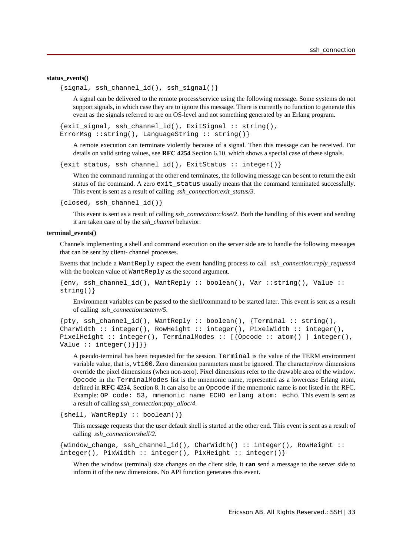#### **status\_events()**

```
{signal, ssh_channel_id(), ssh_signal()}
```
A signal can be delivered to the remote process/service using the following message. Some systems do not support signals, in which case they are to ignore this message. There is currently no function to generate this event as the signals referred to are on OS-level and not something generated by an Erlang program.

```
{exit_signal, ssh_channel_id(), ExitSignal :: string(),
ErrorMsg ::string(), LanguageString :: string()}
```
A remote execution can terminate violently because of a signal. Then this message can be received. For details on valid string values, see **[RFC 4254](href)** Section 6.10, which shows a special case of these signals.

```
{exit status, ssh_channel_id(), ExitStatus :: integer()}
```
When the command running at the other end terminates, the following message can be sent to return the exit status of the command. A zero exit\_status usually means that the command terminated successfully. This event is sent as a result of calling *ssh\_connection:exit\_status/3*.

{closed, ssh\_channel\_id()}

This event is sent as a result of calling *ssh\_connection:close/2*. Both the handling of this event and sending it are taken care of by the *ssh\_channel* behavior.

#### **terminal\_events()**

Channels implementing a shell and command execution on the server side are to handle the following messages that can be sent by client- channel processes.

Events that include a WantReply expect the event handling process to call *ssh\_connection:reply\_request/4* with the boolean value of WantReply as the second argument.

```
{env, ssh_channel_id(), WantReply :: boolean(), Var ::string(), Value ::
string()}
```
Environment variables can be passed to the shell/command to be started later. This event is sent as a result of calling *ssh\_connection:setenv/5*.

```
{pty, ssh_channel_id(), WantReply :: boolean(), {Terminal :: string(),
CharWidth :: integer(), RowHeight :: integer(), PixelWidth :: integer(),
PixelHeight :: integer(), TerminalModes :: [{Opcode :: atom() | integer(),
Value :: integer() } ] } }
```
A pseudo-terminal has been requested for the session. Terminal is the value of the TERM environment variable value, that is, vt100. Zero dimension parameters must be ignored. The character/row dimensions override the pixel dimensions (when non-zero). Pixel dimensions refer to the drawable area of the window. Opcode in the TerminalModes list is the mnemonic name, represented as a lowercase Erlang atom, defined in **[RFC 4254](href)**, Section 8. It can also be an Opcode if the mnemonic name is not listed in the RFC. Example: OP code: 53, mnemonic name ECHO erlang atom: echo. This event is sent as a result of calling *ssh\_connection:ptty\_alloc/4*.

```
{shell, WantReply :: boolean()}
```
This message requests that the user default shell is started at the other end. This event is sent as a result of calling *ssh\_connection:shell/2*.

```
{window_change, ssh_channel_id(), CharWidth() :: integer(), RowHeight ::
integer(), PixWidth :: integer(), PixHeight :: integer()}
```
When the window (terminal) size changes on the client side, it **can** send a message to the server side to inform it of the new dimensions. No API function generates this event.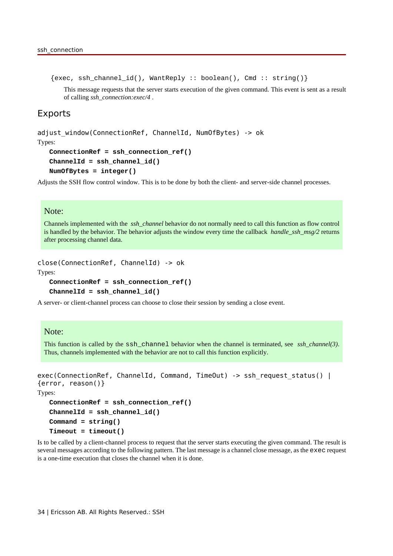{exec, ssh\_channel\_id(), WantReply :: boolean(), Cmd :: string()}

This message requests that the server starts execution of the given command. This event is sent as a result of calling *ssh\_connection:exec/4* .

#### Exports

```
adjust window(ConnectionRef, ChannelId, NumOfBytes) -> ok
Types:
   ConnectionRef = ssh_connection_ref()
   ChannelId = ssh_channel_id()
   NumOfBytes = integer()
```
Adjusts the SSH flow control window. This is to be done by both the client- and server-side channel processes.

#### Note:

Channels implemented with the *ssh\_channel* behavior do not normally need to call this function as flow control is handled by the behavior. The behavior adjusts the window every time the callback *handle\_ssh\_msg/2* returns after processing channel data.

```
close(ConnectionRef, ChannelId) -> ok
```
Types:

```
ConnectionRef = ssh_connection_ref()
ChannelId = ssh_channel_id()
```
A server- or client-channel process can choose to close their session by sending a close event.

#### Note:

This function is called by the ssh\_channel behavior when the channel is terminated, see *ssh\_channel(3)*. Thus, channels implemented with the behavior are not to call this function explicitly.

```
exec(ConnectionRef, ChannelId, Command, TimeOut) -> ssh_request_status() |
{error, reason()}
Types:
   ConnectionRef = ssh_connection_ref()
   ChannelId = ssh_channel_id()
   Command = string()
   Timeout = timeout()
```
Is to be called by a client-channel process to request that the server starts executing the given command. The result is several messages according to the following pattern. The last message is a channel close message, as the exec request is a one-time execution that closes the channel when it is done.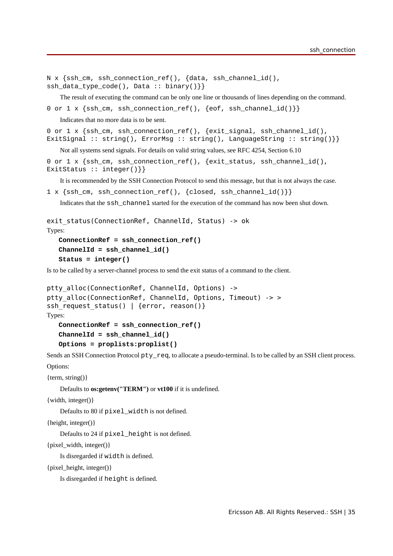```
N x {ssh_cm, ssh_connection_ref(), {data, ssh_channel_id(),
ssh data type code(), Data :: binary()}}
```
The result of executing the command can be only one line or thousands of lines depending on the command.

```
0 or 1 x \{ \text{sh\_cm, ssh\_connection\_ref}(), \{ \text{eof, ssh\_channel\_id()} \}
```
Indicates that no more data is to be sent.

```
0 or 1 x {ssh_cm, ssh_connection_ref(), {exit_signal, ssh_channel_id(),
ExitSignal :: string(), ErrorMsg :: string(), LanguageString :: string()}}
```
Not all systems send signals. For details on valid string values, see RFC 4254, Section 6.10

```
0 or 1 x {ssh_cm, ssh_connection_ref(), {exit_status, ssh_channel_id(),
ExitStatus :: integer() } }
```
It is recommended by the SSH Connection Protocol to send this message, but that is not always the case.

```
1 x {ssh_cm, ssh_connection_ref(), {closed, ssh_channel_id()}}
```
Indicates that the ssh\_channel started for the execution of the command has now been shut down.

exit status(ConnectionRef, ChannelId, Status) -> ok

Types:

```
ConnectionRef = ssh_connection_ref()
ChannelId = ssh_channel_id()
Status = integer()
```
Is to be called by a server-channel process to send the exit status of a command to the client.

```
ptty_alloc(ConnectionRef, ChannelId, Options) ->
ptty_alloc(ConnectionRef, ChannelId, Options, Timeout) -> >
ssh_request_status() | {error, reason()}
Types:
   ConnectionRef = ssh_connection_ref()
   ChannelId = ssh_channel_id()
   Options = proplists:proplist()
```
Sends an SSH Connection Protocol pty\_req, to allocate a pseudo-terminal. Is to be called by an SSH client process.

Options:

```
{term, string()}
```
Defaults to **os:getenv("TERM")** or **vt100** if it is undefined.

```
{width, integer()}
```
Defaults to 80 if pixel\_width is not defined.

{height, integer()}

Defaults to 24 if pixel\_height is not defined.

{pixel\_width, integer()}

Is disregarded if width is defined.

```
{pixel_height, integer()}
```
Is disregarded if height is defined.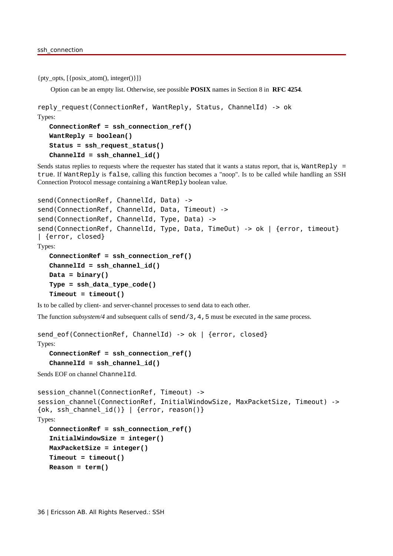```
{pty_opts, [{posix\_atom()}, {integer()}]\}}
```
Option can be an empty list. Otherwise, see possible **POSIX** names in Section 8 in **[RFC 4254](href)**.

```
reply request(ConnectionRef, WantReply, Status, ChannelId) -> ok
Types:
  ConnectionRef = ssh_connection_ref()
```

```
WantReply = boolean()
Status = ssh_request_status()
ChannelId = ssh_channel_id()
```
Sends status replies to requests where the requester has stated that it wants a status report, that is, WantReply = true. If WantReply is false, calling this function becomes a "noop". Is to be called while handling an SSH Connection Protocol message containing a WantReply boolean value.

```
send(ConnectionRef, ChannelId, Data) ->
send(ConnectionRef, ChannelId, Data, Timeout) ->
send(ConnectionRef, ChannelId, Type, Data) ->
send(ConnectionRef, ChannelId, Type, Data, TimeOut) -> ok | {error, timeout}
| {error, closed}
Types:
   ConnectionRef = ssh_connection_ref()
   ChannelId = ssh_channel_id()
   Data = binary()
   Type = ssh_data_type_code()
   Timeout = timeout()
```
Is to be called by client- and server-channel processes to send data to each other.

The function *subsystem/4* and subsequent calls of send/3,4,5 must be executed in the same process.

```
send eof(ConnectionRef, ChannelId) -> ok | {error, closed}
Types:
```

```
ConnectionRef = ssh_connection_ref()
ChannelId = ssh_channel_id()
```
Sends EOF on channel ChannelId.

```
session channel(ConnectionRef, Timeout) ->
session channel(ConnectionRef, InitialWindowSize, MaxPacketSize, Timeout) ->
\{ok, ssh channel_id()\} | \{error, reason()\}Types:
   ConnectionRef = ssh_connection_ref()
   InitialWindowSize = integer()
   MaxPacketSize = integer()
   Timeout = timeout()
   Reason = term()
```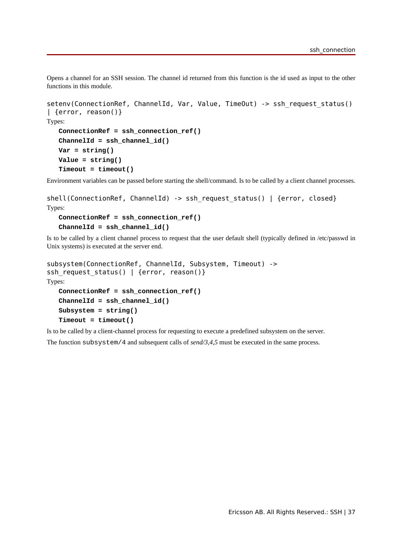Opens a channel for an SSH session. The channel id returned from this function is the id used as input to the other functions in this module.

```
setenv(ConnectionRef, ChannelId, Var, Value, TimeOut) -> ssh_request_status()
| {error, reason()}
Types:
   ConnectionRef = ssh_connection_ref()
   ChannelId = ssh_channel_id()
   Var = string()
```
Environment variables can be passed before starting the shell/command. Is to be called by a client channel processes.

```
shell(ConnectionRef, ChannelId) -> ssh_request_status() | {error, closed}
Types:
   ConnectionRef = ssh_connection_ref()
```

```
ChannelId = ssh_channel_id()
```
**Value = string() Timeout = timeout()**

Is to be called by a client channel process to request that the user default shell (typically defined in /etc/passwd in Unix systems) is executed at the server end.

```
subsystem(ConnectionRef, ChannelId, Subsystem, Timeout) ->
ssh_request_status() | {error, reason()}
Types:
   ConnectionRef = ssh_connection_ref()
```

```
ChannelId = ssh_channel_id()
Subsystem = string()
Timeout = timeout()
```
Is to be called by a client-channel process for requesting to execute a predefined subsystem on the server.

The function subsystem/4 and subsequent calls of *send/3,4,5* must be executed in the same process.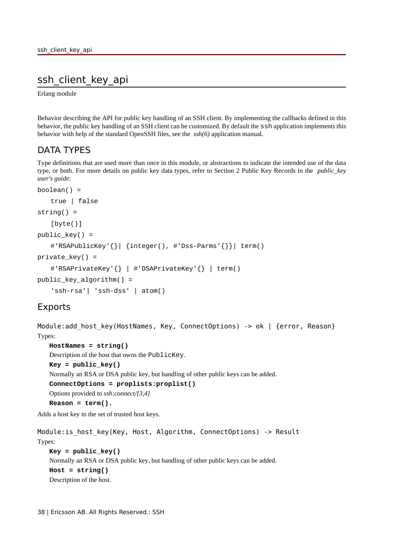# ssh client key api

Erlang module

Behavior describing the API for public key handling of an SSH client. By implementing the callbacks defined in this behavior, the public key handling of an SSH client can be customized. By default the ssh application implements this behavior with help of the standard OpenSSH files, see the *ssh(6)* application manual.

### DATA TYPES

Type definitions that are used more than once in this module, or abstractions to indicate the intended use of the data type, or both. For more details on public key data types, refer to Section 2 Public Key Records in the *public\_key user's guide:*

```
boolean() =
   true | false
string() =[byte()]
public_key() =
   #'RSAPublicKey'{}| {integer(), #'Dss-Parms'{}}| term()
private key() =#'RSAPrivateKey'{} | #'DSAPrivateKey'{} | term()
public key algorithm() =
   'ssh-rsa'| 'ssh-dss' | atom()
```
### Exports

Module:add\_host\_key(HostNames, Key, ConnectOptions) -> ok | {error, Reason} Types:

**HostNames = string()** Description of the host that owns the PublicKey. **Key = public\_key()** Normally an RSA or DSA public key, but handling of other public keys can be added. **ConnectOptions = proplists:proplist()** Options provided to *ssh:connect/[3,4]* **Reason = term().**

Adds a host key to the set of trusted host keys.

```
Module: is host key(Key, Host, Algorithm, ConnectOptions) -> Result
Types:
   Key = public_key()
   Normally an RSA or DSA public key, but handling of other public keys can be added.
```

```
Host = string()
Description of the host.
```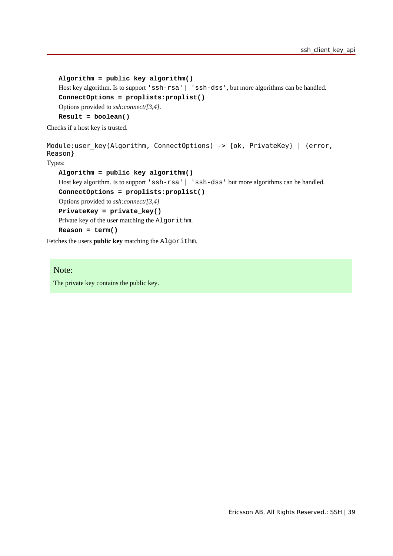```
Algorithm = public_key_algorithm()
   Host key algorithm. Is to support 'ssh-rsa'| 'ssh-dss', but more algorithms can be handled.
   ConnectOptions = proplists:proplist()
   Options provided to ssh:connect/[3,4].
   Result = boolean()
Checks if a host key is trusted.
Module:user_key(Algorithm, ConnectOptions) -> {ok, PrivateKey} | {error,
Reason}
Types:
   Algorithm = public_key_algorithm()
   Host key algorithm. Is to support 'ssh-rsa'| 'ssh-dss' but more algorithms can be handled.
   ConnectOptions = proplists:proplist()
   Options provided to ssh:connect/[3,4]
   PrivateKey = private_key()
   Private key of the user matching the Algorithm.
```
**Reason = term()**

Fetches the users **public key** matching the Algorithm.

#### Note:

The private key contains the public key.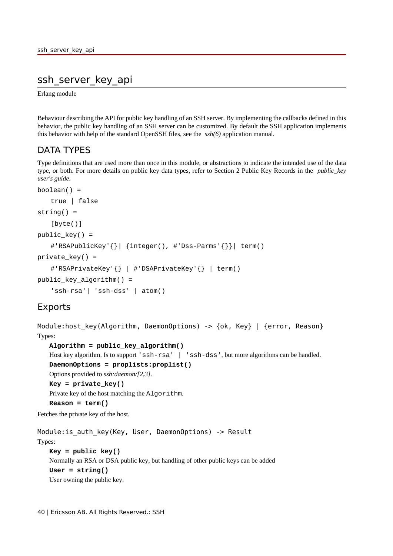# ssh server key api

Erlang module

Behaviour describing the API for public key handling of an SSH server. By implementing the callbacks defined in this behavior, the public key handling of an SSH server can be customized. By default the SSH application implements this behavior with help of the standard OpenSSH files, see the *ssh(6)* application manual.

### DATA TYPES

Type definitions that are used more than once in this module, or abstractions to indicate the intended use of the data type, or both. For more details on public key data types, refer to Section 2 Public Key Records in the *public\_key user's guide*.

```
boolean() =
   true | false
string() =[byte()]
public_key() =
   #'RSAPublicKey'{}| {integer(), #'Dss-Parms'{}}| term()
private key() =#'RSAPrivateKey'{} | #'DSAPrivateKey'{} | term()
public key algorithm() =
   'ssh-rsa'| 'ssh-dss' | atom()
```
### Exports

```
Module:host_key(Algorithm, DaemonOptions) -> {ok, Key} | {error, Reason}
Types:
   Algorithm = public_key_algorithm()
   Host key algorithm. Is to support 'ssh-rsa' | 'ssh-dss', but more algorithms can be handled.
   DaemonOptions = proplists:proplist()
   Options provided to ssh:daemon/[2,3].
   Key = private_key()
   Private key of the host matching the Algorithm.
   Reason = term()
Fetches the private key of the host.
Module: is auth key(Key, User, DaemonOptions) -> Result
Types:
   Key = public_key()
   Normally an RSA or DSA public key, but handling of other public keys can be added
   User = string()
```
User owning the public key.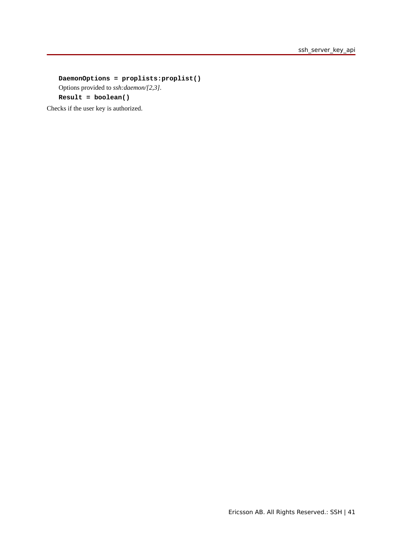**DaemonOptions = proplists:proplist()** Options provided to *ssh:daemon/[2,3]*. **Result = boolean()**

Checks if the user key is authorized.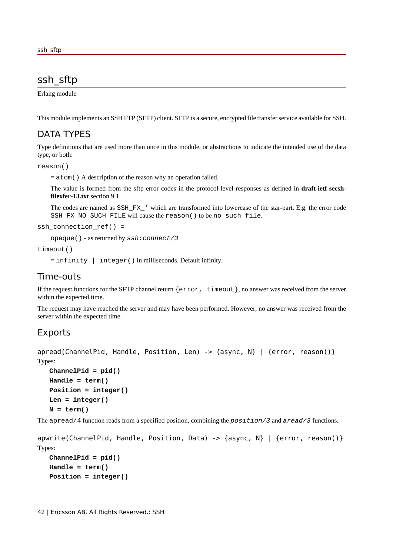```
ssh_sftp
```
# ssh sftp

Erlang module

This module implements an SSH FTP (SFTP) client. SFTP is a secure, encrypted file transfer service available for SSH.

# DATA TYPES

Type definitions that are used more than once in this module, or abstractions to indicate the intended use of the data type, or both:

reason()

 $=$  atom() A description of the reason why an operation failed.

The value is formed from the sftp error codes in the protocol-level responses as defined in **[draft-ietf-secsh](href)[filexfer-13.txt](href)** section 9.1.

The codes are named as SSH\_FX\_\* which are transformed into lowercase of the star-part. E.g. the error code SSH\_FX\_NO\_SUCH\_FILE will cause the reason() to be no\_such\_file.

ssh\_connection\_ref() =

```
opaque() - as returned by ssh:connect/3
```
timeout()

```
= infinity | integer() in milliseconds. Default infinity.
```
### Time-outs

If the request functions for the SFTP channel return  $\{error, timeout\}$ , no answer was received from the server within the expected time.

The request may have reached the server and may have been performed. However, no answer was received from the server within the expected time.

### Exports

```
apread(ChannelPid, Handle, Position, Len) -> {async, N} | {error, reason()}
Types:
```

```
ChannelPid = pid()
Handle = term()
Position = integer()
Len = integer()
N = term()
```
The apread/4 function reads from a specified position, combining the  $position/3$  and aread/3 functions.

```
apwrite(ChannelPid, Handle, Position, Data) -> {async, N} | {error, reason()}
Types:
```

```
ChannelPid = pid()
Handle = term()
Position = integer()
```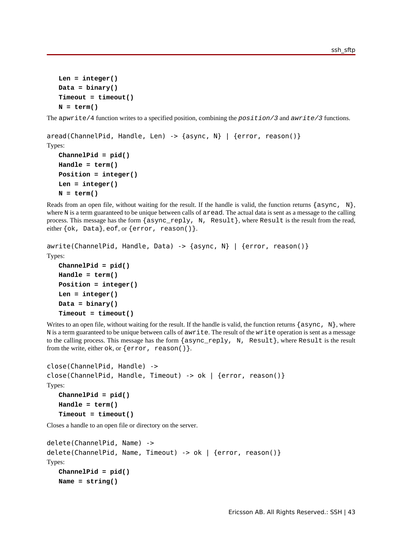```
Len = integer()
Data = binary()
Timeout = timeout()
N = term()
```
The apwrite/4 function writes to a specified position, combining the position/3 and awrite/3 functions.

aread(ChannelPid, Handle, Len) -> {async, N} | {error, reason()} Types: **ChannelPid = pid() Handle = term() Position = integer() Len = integer() N = term()**

Reads from an open file, without waiting for the result. If the handle is valid, the function returns  $\{asyn c, N\}$ , where N is a term guaranteed to be unique between calls of a read. The actual data is sent as a message to the calling process. This message has the form  $\{async\_reply, N, Result\}$ , where Result is the result from the read, either {ok, Data}, eof, or {error, reason()}.

```
awrite(ChannelPid, Handle, Data) -> {async, N} | {error, reason()}
Types:
   ChannelPid = pid()
   Handle = term()
   Position = integer()
   Len = integer()
   Data = binary()
   Timeout = timeout()
```
Writes to an open file, without waiting for the result. If the handle is valid, the function returns  $\{$  async,  $\mathbb{N}\}$ , where N is a term guaranteed to be unique between calls of awrite. The result of the write operation is sent as a message to the calling process. This message has the form {async\_reply, N, Result}, where Result is the result from the write, either ok, or  $\{error, reason() \}.$ 

```
close(ChannelPid, Handle) ->
close(ChannelPid, Handle, Timeout) -> ok | {error, reason()}
Types:
   ChannelPid = pid()
   Handle = term()
```

```
Timeout = timeout()
```
Closes a handle to an open file or directory on the server.

```
delete(ChannelPid, Name) ->
delete(ChannelPid, Name, Timeout) -> ok | {error, reason()}
Types:
   ChannelPid = pid()
   Name = string()
```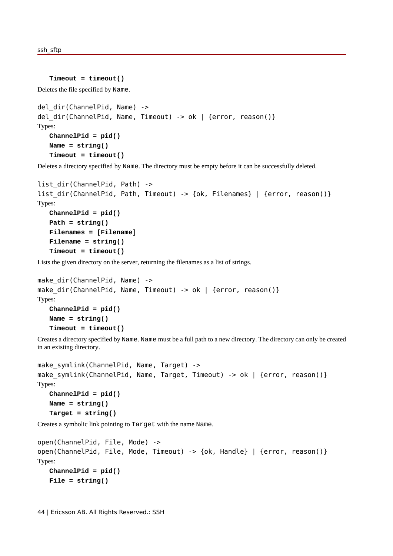#### **Timeout = timeout()**

Deletes the file specified by Name.

```
del dir(ChannelPid, Name) ->
del_dir(ChannelPid, Name, Timeout) -> ok | {error, reason()}
Types:
   ChannelPid = pid()
   Name = string()
   Timeout = timeout()
```
Deletes a directory specified by Name. The directory must be empty before it can be successfully deleted.

```
list dir(ChannelPid, Path) ->
list dir(ChannelPid, Path, Timeout) -> {ok, Filenames} | {error, reason()}
Types:
  ChannelPid = pid()
  Path = string()
  Filenames = [Filename]
  Filename = string()
   Timeout = timeout()
```
Lists the given directory on the server, returning the filenames as a list of strings.

```
make dir(ChannelPid, Name) ->
make dir(ChannelPid, Name, Timeout) -> ok | {error, reason()}
Types:
   ChannelPid = pid()
   Name = string()
   Timeout = timeout()
```
Creates a directory specified by Name. Name must be a full path to a new directory. The directory can only be created in an existing directory.

```
make symlink(ChannelPid, Name, Target) ->
make symlink(ChannelPid, Name, Target, Timeout) -> ok | {error, reason()}
Types:
   ChannelPid = pid()
   Name = string()
   Target = string()
```
Creates a symbolic link pointing to Target with the name Name.

```
open(ChannelPid, File, Mode) ->
open(ChannelPid, File, Mode, Timeout) -> {ok, Handle} | {error, reason()}
Types:
   ChannelPid = pid()
   File = string()
```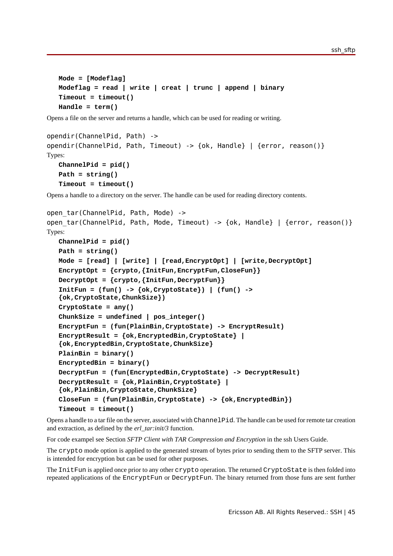```
Mode = [Modeflag]
Modeflag = read | write | creat | trunc | append | binary
Timeout = timeout()
Handle = term()
```
Opens a file on the server and returns a handle, which can be used for reading or writing.

```
opendir(ChannelPid, Path) ->
opendir(ChannelPid, Path, Timeout) -> {ok, Handle} | {error, reason()}
Types:
   ChannelPid = pid()
   Path = string()
   Timeout = timeout()
```
Opens a handle to a directory on the server. The handle can be used for reading directory contents.

```
open tar(ChannelPid, Path, Mode) ->
open tar(ChannelPid, Path, Mode, Timeout) -> {ok, Handle} | {error, reason()}
Types:
  ChannelPid = pid()
   Path = string()
  Mode = [read] | [write] | [read,EncryptOpt] | [write,DecryptOpt]
   EncryptOpt = {crypto,{InitFun,EncryptFun,CloseFun}}
  DecryptOpt = {crypto,{InitFun,DecryptFun}}
   InitFun = (fun() -> {ok,CryptoState}) | (fun() ->
   {ok,CryptoState,ChunkSize})
   CryptoState = any()
   ChunkSize = undefined | pos_integer()
   EncryptFun = (fun(PlainBin,CryptoState) -> EncryptResult)
   EncryptResult = {ok,EncryptedBin,CryptoState} |
   {ok,EncryptedBin,CryptoState,ChunkSize}
   PlainBin = binary()
   EncryptedBin = binary()
  DecryptFun = (fun(EncryptedBin,CryptoState) -> DecryptResult)
  DecryptResult = {ok,PlainBin,CryptoState} |
   {ok,PlainBin,CryptoState,ChunkSize}
   CloseFun = (fun(PlainBin,CryptoState) -> {ok,EncryptedBin})
   Timeout = timeout()
```
Opens a handle to a tar file on the server, associated with ChannelPid. The handle can be used for remote tar creation and extraction, as defined by the *erl\_tar:init/3* function.

For code exampel see Section *SFTP Client with TAR Compression and Encryption* in the ssh Users Guide.

The crypto mode option is applied to the generated stream of bytes prior to sending them to the SFTP server. This is intended for encryption but can be used for other purposes.

The InitFun is applied once prior to any other crypto operation. The returned CryptoState is then folded into repeated applications of the EncryptFun or DecryptFun. The binary returned from those funs are sent further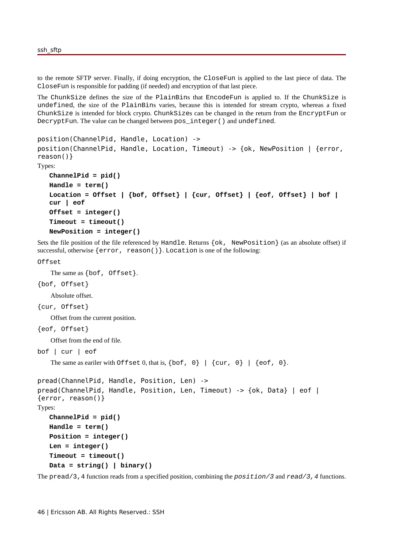to the remote SFTP server. Finally, if doing encryption, the CloseFun is applied to the last piece of data. The CloseFun is responsible for padding (if needed) and encryption of that last piece.

The ChunkSize defines the size of the PlainBins that EncodeFun is applied to. If the ChunkSize is undefined, the size of the PlainBins varies, because this is intended for stream crypto, whereas a fixed ChunkSize is intended for block crypto. ChunkSizes can be changed in the return from the EncryptFun or DecryptFun. The value can be changed between pos\_integer() and undefined.

```
position(ChannelPid, Handle, Location) ->
position(ChannelPid, Handle, Location, Timeout) -> {ok, NewPosition | {error,
reason()}
Types:
   ChannelPid = pid()
   Handle = term()
   Location = Offset | {bof, Offset} | {cur, Offset} | {eof, Offset} | bof |
   cur | eof
   Offset = integer()
   Timeout = timeout()
   NewPosition = integer()
```
Sets the file position of the file referenced by Handle. Returns {ok, NewPosition} (as an absolute offset) if successful, otherwise {error, reason()}. Location is one of the following:

```
Offset
```
The same as {bof, Offset}.

```
{bof, Offset}
```
Absolute offset.

```
{cur, Offset}
```
Offset from the current position.

```
{eof, Offset}
```
Offset from the end of file.

```
bof | cur | eof
```

```
The same as eariler with Offset 0, that is, \{bot, 0\} | \{cur, 0\} | \{eof, 0\}.
```

```
pread(ChannelPid, Handle, Position, Len) ->
pread(ChannelPid, Handle, Position, Len, Timeout) -> {ok, Data} | eof |
{error, reason()}
Types:
   ChannelPid = pid()
   Handle = term()
   Position = integer()
   Len = integer()
   Timeout = timeout()
   Data = string() | binary()
```
The pread/3,4 function reads from a specified position, combining the  $position/3$  and read/3,4 functions.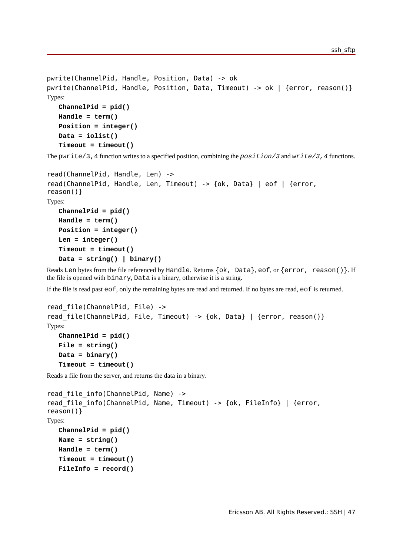```
pwrite(ChannelPid, Handle, Position, Data) -> ok
pwrite(ChannelPid, Handle, Position, Data, Timeout) -> ok | {error, reason()}
Types:
   ChannelPid = pid()
   Handle = term()
   Position = integer()
   Data = iolist()
   Timeout = timeout()
```
The pwrite/3,4 function writes to a specified position, combining the position/3 and write/3,4 functions.

```
read(ChannelPid, Handle, Len) ->
read(ChannelPid, Handle, Len, Timeout) -> {ok, Data} | eof | {error,
reason()}
Types:
   ChannelPid = pid()
  Handle = term()
  Position = integer()
  Len = integer()
   Timeout = timeout()
  Data = string() | binary()
```
Reads Len bytes from the file referenced by Handle. Returns {ok, Data}, eof, or {error, reason()}. If the file is opened with binary, Data is a binary, otherwise it is a string.

If the file is read past eof, only the remaining bytes are read and returned. If no bytes are read, eof is returned.

```
read file(ChannelPid, File) ->
read file(ChannelPid, File, Timeout) -> {ok, Data} | {error, reason()}
Types:
   ChannelPid = pid()
   File = string()
   Data = binary()
   Timeout = timeout()
```
Reads a file from the server, and returns the data in a binary.

```
read file info(ChannelPid, Name) ->
read file info(ChannelPid, Name, Timeout) -> {ok, FileInfo} | {error,
reason()}
Types:
   ChannelPid = pid()
  Name = string()
  Handle = term()
   Timeout = timeout()
   FileInfo = record()
```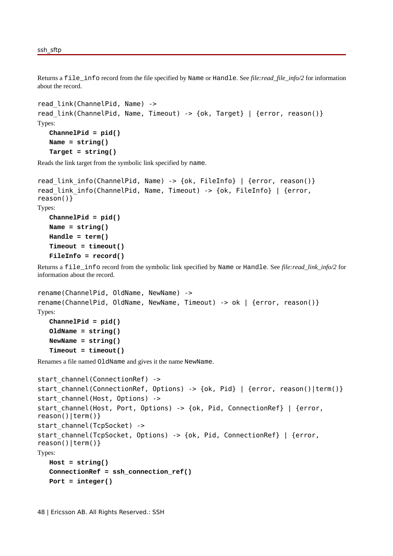Returns a file info record from the file specified by Name or Handle. See *file:read file info/2* for information about the record.

```
read link(ChannelPid, Name) ->
read link(ChannelPid, Name, Timeout) -> {ok, Target} | {error, reason()}
Types:
   ChannelPid = pid()
   Name = string()
   Target = string()
```
Reads the link target from the symbolic link specified by name.

```
read link info(ChannelPid, Name) -> {ok, FileInfo} | {error, reason()}
read link info(ChannelPid, Name, Timeout) -> {ok, FileInfo} | {error,
reason()}
Types:
   ChannelPid = pid()
  Name = string()
   Handle = term()
   Timeout = timeout()
   FileInfo = record()
```
Returns a file\_info record from the symbolic link specified by Name or Handle. See *file:read\_link\_info/2* for information about the record.

```
rename(ChannelPid, OldName, NewName) ->
rename(ChannelPid, OldName, NewName, Timeout) -> ok | {error, reason()}
Types:
   ChannelPid = pid()
   OldName = string()
   NewName = string()
   Timeout = timeout()
```
Renames a file named OldName and gives it the name NewName.

```
start channel(ConnectionRef) ->
start channel(ConnectionRef, Options) -> {ok, Pid} | {error, reason()|term()}
start channel(Host, Options) ->
start channel(Host, Port, Options) -> {ok, Pid, ConnectionRef} | {error,
reason()|term()}
start channel(TcpSocket) ->
start_channel(TcpSocket, Options) -> {ok, Pid, ConnectionRef} | {error,
reason()|term()}
Types:
   Host = string()
   ConnectionRef = ssh_connection_ref()
   Port = integer()
```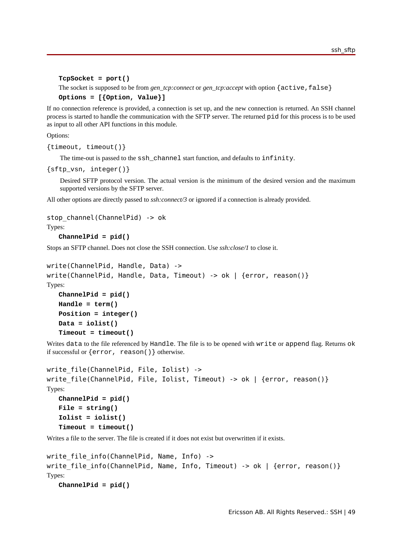```
TcpSocket = port()
```
The socket is supposed to be from *gen\_tcp:connect* or *gen\_tcp:accept* with option {active, false} **Options = [{Option, Value}]**

If no connection reference is provided, a connection is set up, and the new connection is returned. An SSH channel process is started to handle the communication with the SFTP server. The returned pid for this process is to be used as input to all other API functions in this module.

Options:

```
{timeout, timeout()}
```
The time-out is passed to the ssh\_channel start function, and defaults to infinity.

```
{sftp_vsn, integer()}
```
Desired SFTP protocol version. The actual version is the minimum of the desired version and the maximum supported versions by the SFTP server.

All other options are directly passed to *ssh:connect/3* or ignored if a connection is already provided.

```
stop channel(ChannelPid) -> ok
```
Types:

**ChannelPid = pid()**

Stops an SFTP channel. Does not close the SSH connection. Use *ssh:close/1* to close it.

```
write(ChannelPid, Handle, Data) ->
write(ChannelPid, Handle, Data, Timeout) -> ok | {error, reason()}
Types:
   ChannelPid = pid()
```

```
Handle = term()
Position = integer()
Data = iolist()
Timeout = timeout()
```
Writes data to the file referenced by Handle. The file is to be opened with write or append flag. Returns ok if successful or {error, reason()} otherwise.

```
write file(ChannelPid, File, Iolist) ->
write file(ChannelPid, File, Iolist, Timeout) -> ok | {error, reason()}
Types:
   ChannelPid = pid()
   File = string()
   Iolist = iolist()
   Timeout = timeout()
```
Writes a file to the server. The file is created if it does not exist but overwritten if it exists.

```
write file info(ChannelPid, Name, Info) ->
write file info(ChannelPid, Name, Info, Timeout) -> ok | {error, reason()}
Types:
   ChannelPid = pid()
```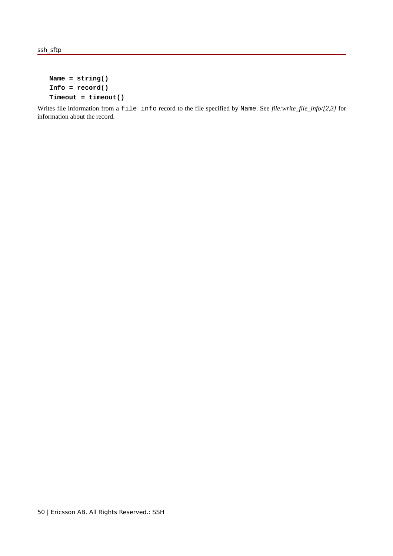```
Name = string()
Info = record()
Timeout = timeout()
```
Writes file information from a file\_info record to the file specified by Name. See *file:write\_file\_info/[2,3]* for information about the record.